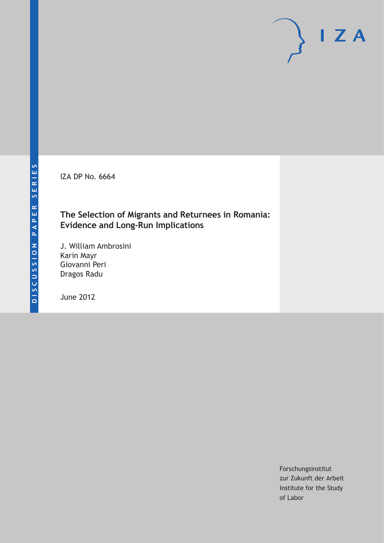IZA DP No. 6664

# **The Selection of Migrants and Returnees in Romania: Evidence and Long-Run Implications**

J. William Ambrosini Karin Mayr Giovanni Peri Dragos Radu

June 2012

Forschungsinstitut zur Zukunft der Arbeit Institute for the Study of Labor

 $I Z A$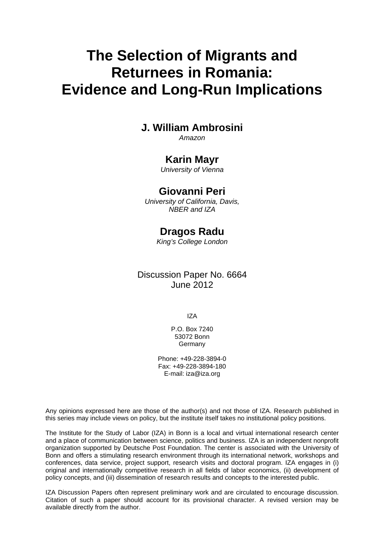# **The Selection of Migrants and Returnees in Romania: Evidence and Long-Run Implications**

# **J. William Ambrosini**

*Amazon* 

# **Karin Mayr**

*University of Vienna* 

# **Giovanni Peri**

*University of California, Davis, NBER and IZA* 

# **Dragos Radu**

*King's College London* 

Discussion Paper No. 6664 June 2012

IZA

P.O. Box 7240 53072 Bonn Germany

Phone: +49-228-3894-0 Fax: +49-228-3894-180 E-mail: [iza@iza.org](mailto:iza@iza.org)

Any opinions expressed here are those of the author(s) and not those of IZA. Research published in this series may include views on policy, but the institute itself takes no institutional policy positions.

The Institute for the Study of Labor (IZA) in Bonn is a local and virtual international research center and a place of communication between science, politics and business. IZA is an independent nonprofit organization supported by Deutsche Post Foundation. The center is associated with the University of Bonn and offers a stimulating research environment through its international network, workshops and conferences, data service, project support, research visits and doctoral program. IZA engages in (i) original and internationally competitive research in all fields of labor economics, (ii) development of policy concepts, and (iii) dissemination of research results and concepts to the interested public.

IZA Discussion Papers often represent preliminary work and are circulated to encourage discussion. Citation of such a paper should account for its provisional character. A revised version may be available directly from the author.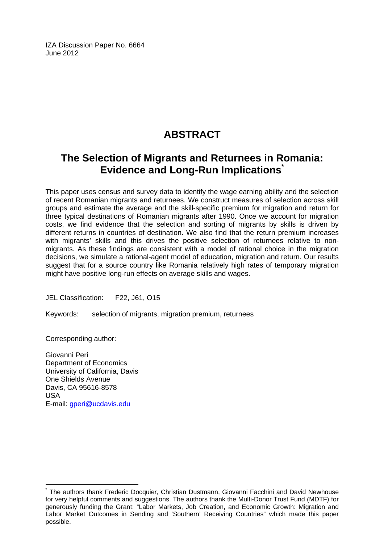IZA Discussion Paper No. 6664 June 2012

# **ABSTRACT**

# **The Selection of Migrants and Returnees in Romania: Evidence and Long-Run Implications[\\*](#page-2-0)**

This paper uses census and survey data to identify the wage earning ability and the selection of recent Romanian migrants and returnees. We construct measures of selection across skill groups and estimate the average and the skill-specific premium for migration and return for three typical destinations of Romanian migrants after 1990. Once we account for migration costs, we find evidence that the selection and sorting of migrants by skills is driven by different returns in countries of destination. We also find that the return premium increases with migrants' skills and this drives the positive selection of returnees relative to nonmigrants. As these findings are consistent with a model of rational choice in the migration decisions, we simulate a rational-agent model of education, migration and return. Our results suggest that for a source country like Romania relatively high rates of temporary migration might have positive long-run effects on average skills and wages.

JEL Classification: F22, J61, O15

Keywords: selection of migrants, migration premium, returnees

Corresponding author:

 $\overline{a}$ 

Giovanni Peri Department of Economics University of California, Davis One Shields Avenue Davis, CA 95616-8578 USA E-mail: [gperi@ucdavis.edu](mailto:gperi@ucdavis.edu)

<span id="page-2-0"></span><sup>\*</sup> The authors thank Frederic Docquier, Christian Dustmann, Giovanni Facchini and David Newhouse for very helpful comments and suggestions. The authors thank the Multi-Donor Trust Fund (MDTF) for generously funding the Grant: "Labor Markets, Job Creation, and Economic Growth: Migration and Labor Market Outcomes in Sending and 'Southern' Receiving Countries" which made this paper possible.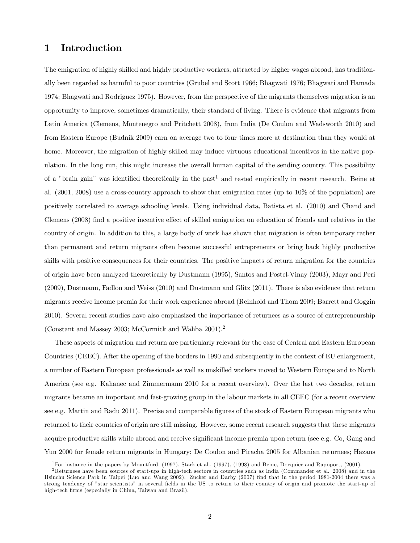### 1 Introduction

The emigration of highly skilled and highly productive workers, attracted by higher wages abroad, has traditionally been regarded as harmful to poor countries (Grubel and Scott 1966; Bhagwati 1976; Bhagwati and Hamada 1974; Bhagwati and Rodriguez 1975). However, from the perspective of the migrants themselves migration is an opportunity to improve, sometimes dramatically, their standard of living. There is evidence that migrants from Latin America (Clemens, Montenegro and Pritchett 2008), from India (De Coulon and Wadsworth 2010) and from Eastern Europe (Budnik 2009) earn on average two to four times more at destination than they would at home. Moreover, the migration of highly skilled may induce virtuous educational incentives in the native population. In the long run, this might increase the overall human capital of the sending country. This possibility of a "brain gain" was identified theoretically in the past<sup>1</sup> and tested empirically in recent research. Beine et al. (2001, 2008) use a cross-country approach to show that emigration rates (up to 10% of the population) are positively correlated to average schooling levels. Using individual data, Batista et al. (2010) and Chand and Clemens (2008) find a positive incentive effect of skilled emigration on education of friends and relatives in the country of origin. In addition to this, a large body of work has shown that migration is often temporary rather than permanent and return migrants often become successful entrepreneurs or bring back highly productive skills with positive consequences for their countries. The positive impacts of return migration for the countries of origin have been analyzed theoretically by Dustmann (1995), Santos and Postel-Vinay (2003), Mayr and Peri (2009), Dustmann, Fadlon and Weiss (2010) and Dustmann and Glitz (2011). There is also evidence that return migrants receive income premia for their work experience abroad (Reinhold and Thom 2009; Barrett and Goggin 2010). Several recent studies have also emphasized the importance of returnees as a source of entrepreneurship (Constant and Massey 2003; McCormick and Wahba 2001).<sup>2</sup>

These aspects of migration and return are particularly relevant for the case of Central and Eastern European Countries (CEEC). After the opening of the borders in 1990 and subsequently in the context of EU enlargement, a number of Eastern European professionals as well as unskilled workers moved to Western Europe and to North America (see e.g. Kahanec and Zimmermann 2010 for a recent overview). Over the last two decades, return migrants became an important and fast-growing group in the labour markets in all CEEC (for a recent overview see e.g. Martin and Radu 2011). Precise and comparable figures of the stock of Eastern European migrants who returned to their countries of origin are still missing. However, some recent research suggests that these migrants acquire productive skills while abroad and receive significant income premia upon return (see e.g. Co, Gang and Yun 2000 for female return migrants in Hungary; De Coulon and Piracha 2005 for Albanian returnees; Hazans

<sup>1</sup>For instance in the papers by Mountford, (1997), Stark et al., (1997), (1998) and Beine, Docquier and Rapoport, (2001).

<sup>2</sup>Returnees have been sources of start-ups in high-tech sectors in countries such as India (Commander et al. 2008) and in the Hsinchu Science Park in Taipei (Luo and Wang 2002). Zucker and Darby (2007) find that in the period 1981-2004 there was a strong tendency of "star scientists" in several fields in the US to return to their country of origin and promote the start-up of high-tech firms (especially in China, Taiwan and Brazil).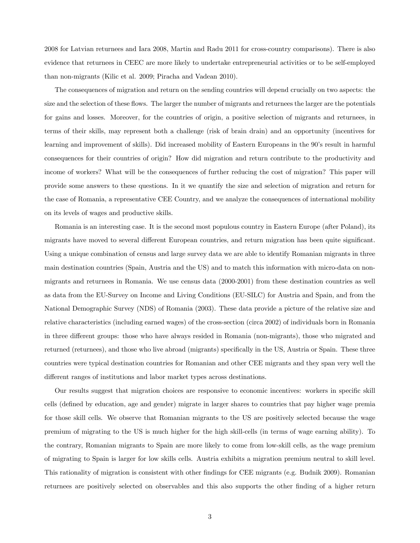2008 for Latvian returnees and Iara 2008, Martin and Radu 2011 for cross-country comparisons). There is also evidence that returnees in CEEC are more likely to undertake entrepreneurial activities or to be self-employed than non-migrants (Kilic et al. 2009; Piracha and Vadean 2010).

The consequences of migration and return on the sending countries will depend crucially on two aspects: the size and the selection of these flows. The larger the number of migrants and returnees the larger are the potentials for gains and losses. Moreover, for the countries of origin, a positive selection of migrants and returnees, in terms of their skills, may represent both a challenge (risk of brain drain) and an opportunity (incentives for learning and improvement of skills). Did increased mobility of Eastern Europeans in the 90's result in harmful consequences for their countries of origin? How did migration and return contribute to the productivity and income of workers? What will be the consequences of further reducing the cost of migration? This paper will provide some answers to these questions. In it we quantify the size and selection of migration and return for the case of Romania, a representative CEE Country, and we analyze the consequences of international mobility on its levels of wages and productive skills.

Romania is an interesting case. It is the second most populous country in Eastern Europe (after Poland), its migrants have moved to several different European countries, and return migration has been quite significant. Using a unique combination of census and large survey data we are able to identify Romanian migrants in three main destination countries (Spain, Austria and the US) and to match this information with micro-data on nonmigrants and returnees in Romania. We use census data (2000-2001) from these destination countries as well as data from the EU-Survey on Income and Living Conditions (EU-SILC) for Austria and Spain, and from the National Demographic Survey (NDS) of Romania (2003). These data provide a picture of the relative size and relative characteristics (including earned wages) of the cross-section (circa 2002) of individuals born in Romania in three different groups: those who have always resided in Romania (non-migrants), those who migrated and returned (returnees), and those who live abroad (migrants) specifically in the US, Austria or Spain. These three countries were typical destination countries for Romanian and other CEE migrants and they span very well the different ranges of institutions and labor market types across destinations.

Our results suggest that migration choices are responsive to economic incentives: workers in specific skill cells (defined by education, age and gender) migrate in larger shares to countries that pay higher wage premia for those skill cells. We observe that Romanian migrants to the US are positively selected because the wage premium of migrating to the US is much higher for the high skill-cells (in terms of wage earning ability). To the contrary, Romanian migrants to Spain are more likely to come from low-skill cells, as the wage premium of migrating to Spain is larger for low skills cells. Austria exhibits a migration premium neutral to skill level. This rationality of migration is consistent with other findings for CEE migrants (e.g. Budnik 2009). Romanian returnees are positively selected on observables and this also supports the other finding of a higher return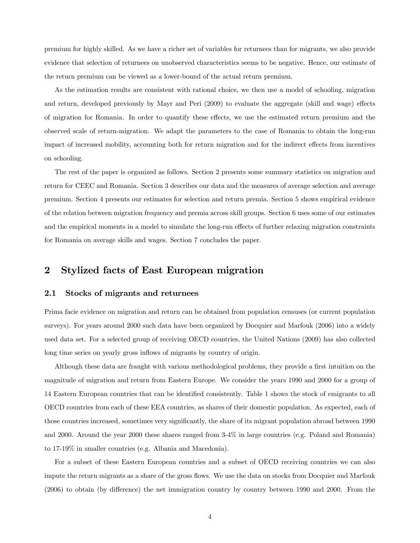premium for highly skilled. As we have a richer set of variables for returnees than for migrants, we also provide evidence that selection of returnees on unobserved characteristics seems to be negative. Hence, our estimate of the return premium can be viewed as a lower-bound of the actual return premium.

As the estimation results are consistent with rational choice, we then use a model of schooling, migration and return, developed previously by Mayr and Peri (2009) to evaluate the aggregate (skill and wage) effects of migration for Romania. In order to quantify these effects, we use the estimated return premium and the observed scale of return-migration. We adapt the parameters to the case of Romania to obtain the long-run impact of increased mobility, accounting both for return migration and for the indirect effects from incentives on schooling.

The rest of the paper is organized as follows. Section 2 presents some summary statistics on migration and return for CEEC and Romania. Section 3 describes our data and the measures of average selection and average premium. Section 4 presents our estimates for selection and return premia. Section 5 shows empirical evidence of the relation between migration frequency and premia across skill groups. Section 6 uses some of our estimates and the empirical moments in a model to simulate the long-run effects of further relaxing migration constraints for Romania on average skills and wages. Section 7 concludes the paper.

### 2 Stylized facts of East European migration

#### 2.1 Stocks of migrants and returnees

Prima facie evidence on migration and return can be obtained from population censuses (or current population surveys). For years around 2000 such data have been organized by Docquier and Marfouk (2006) into a widely used data set. For a selected group of receiving OECD countries, the United Nations (2009) has also collected long time series on yearly gross inflows of migrants by country of origin.

Although these data are fraught with various methodological problems, they provide a first intuition on the magnitude of migration and return from Eastern Europe. We consider the years 1990 and 2000 for a group of 14 Eastern European countries that can be identified consistently. Table 1 shows the stock of emigrants to all OECD countries from each of these EEA countries, as shares of their domestic population. As expected, each of those countries increased, sometimes very significantly, the share of its migrant population abroad between 1990 and 2000. Around the year 2000 these shares ranged from 3-4% in large countries (e.g. Poland and Romania) to 17-19% in smaller countries (e.g. Albania and Macedonia).

For a subset of these Eastern European countries and a subset of OECD receiving countries we can also impute the return migrants as a share of the gross flows. We use the data on stocks from Docquier and Marfouk (2006) to obtain (by difference) the net immigration country by country between 1990 and 2000. From the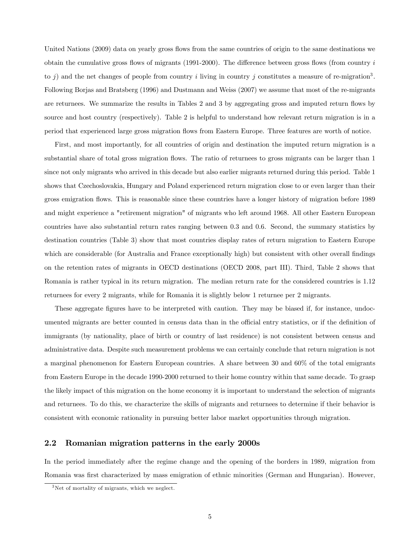United Nations (2009) data on yearly gross flows from the same countries of origin to the same destinations we obtain the cumulative gross flows of migrants (1991-2000). The difference between gross flows (from country  $i$ to *i*) and the net changes of people from country *i* living in country *j* constitutes a measure of re-migration<sup>3</sup>. Following Borjas and Bratsberg (1996) and Dustmann and Weiss (2007) we assume that most of the re-migrants are returnees. We summarize the results in Tables 2 and 3 by aggregating gross and imputed return flows by source and host country (respectively). Table 2 is helpful to understand how relevant return migration is in a period that experienced large gross migration flows from Eastern Europe. Three features are worth of notice.

First, and most importantly, for all countries of origin and destination the imputed return migration is a substantial share of total gross migration flows. The ratio of returnees to gross migrants can be larger than 1 since not only migrants who arrived in this decade but also earlier migrants returned during this period. Table 1 shows that Czechoslovakia, Hungary and Poland experienced return migration close to or even larger than their gross emigration flows. This is reasonable since these countries have a longer history of migration before 1989 and might experience a "retirement migration" of migrants who left around 1968. All other Eastern European countries have also substantial return rates ranging between 0.3 and 0.6. Second, the summary statistics by destination countries (Table 3) show that most countries display rates of return migration to Eastern Europe which are considerable (for Australia and France exceptionally high) but consistent with other overall findings on the retention rates of migrants in OECD destinations (OECD 2008, part III). Third, Table 2 shows that Romania is rather typical in its return migration. The median return rate for the considered countries is 1.12 returnees for every 2 migrants, while for Romania it is slightly below 1 returnee per 2 migrants.

These aggregate figures have to be interpreted with caution. They may be biased if, for instance, undocumented migrants are better counted in census data than in the official entry statistics, or if the definition of immigrants (by nationality, place of birth or country of last residence) is not consistent between census and administrative data. Despite such measurement problems we can certainly conclude that return migration is not a marginal phenomenon for Eastern European countries. A share between 30 and 60% of the total emigrants from Eastern Europe in the decade 1990-2000 returned to their home country within that same decade. To grasp the likely impact of this migration on the home economy it is important to understand the selection of migrants and returnees. To do this, we characterize the skills of migrants and returnees to determine if their behavior is consistent with economic rationality in pursuing better labor market opportunities through migration.

#### 2.2 Romanian migration patterns in the early 2000s

In the period immediately after the regime change and the opening of the borders in 1989, migration from Romania was first characterized by mass emigration of ethnic minorities (German and Hungarian). However,

<sup>3</sup>Net of mortality of migrants, which we neglect.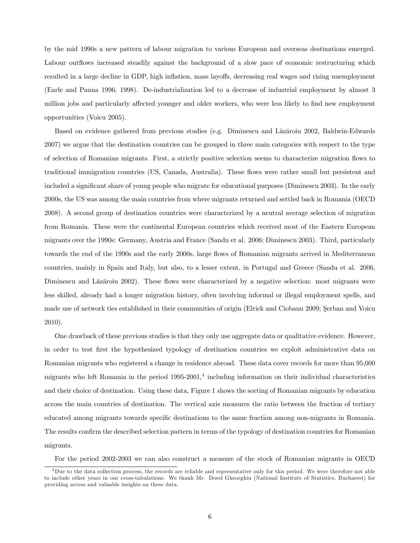by the mid 1990s a new pattern of labour migration to various European and overseas destinations emerged. Labour outflows increased steadily against the background of a slow pace of economic restructuring which resulted in a large decline in GDP, high inflation, mass layoffs, decreasing real wages and rising unemployment (Earle and Pauna 1996, 1998). De-industrialization led to a decrease of industrial employment by almost 3 million jobs and particularly affected younger and older workers, who were less likely to find new employment opportunities (Voicu 2005).

Based on evidence gathered from previous studies (e.g. Diminescu and Lăzăroiu 2002, Baldwin-Edwards 2007) we argue that the destination countries can be grouped in three main categories with respect to the type of selection of Romanian migrants. First, a strictly positive selection seems to characterize migration flows to traditional immigration countries (US, Canada, Australia). These flows were rather small but persistent and included a significant share of young people who migrate for educational purposes (Diminescu 2003). In the early 2000s, the US was among the main countries from where migrants returned and settled back in Romania (OECD 2008). A second group of destination countries were characterized by a neutral average selection of migration from Romania. These were the continental European countries which received most of the Eastern European migrants over the 1990s: Germany, Austria and France (Sandu et al. 2006; Diminescu 2003). Third, particularly towards the end of the 1990s and the early 2000s, large flows of Romanian migrants arrived in Mediterranean countries, mainly in Spain and Italy, but also, to a lesser extent, in Portugal and Greece (Sandu et al. 2006, Diminescu and Lăzăroiu 2002). These flows were characterized by a negative selection: most migrants were less skilled, already had a longer migration history, often involving informal or illegal employment spells, and made use of network ties established in their communities of origin (Elrick and Ciobanu 2009; Şerban and Voicu 2010).

One drawback of these previous studies is that they only use aggregate data or qualitative evidence. However, in order to test first the hypothesized typology of destination countries we exploit administrative data on Romanian migrants who registered a change in residence abroad. These data cover records for more than 95,000 migrants who left Romania in the period  $1995-2001<sup>4</sup>$  including information on their individual characteristics and their choice of destination. Using these data, Figure 1 shows the sorting of Romanian migrants by education across the main countries of destination. The vertical axis measures the ratio between the fraction of tertiary educated among migrants towards specific destinations to the same fraction among non-migrants in Romania. The results confirm the described selection pattern in terms of the typology of destination countries for Romanian migrants.

For the period 2002-2003 we can also construct a measure of the stock of Romanian migrants in OECD

<sup>4</sup>Due to the data collection process, the records are reliable and representative only for this period. We were therefore not able to include other years in our cross-tabulations. We thank Mr. Dorel Gheorghiu (National Institute of Statistics, Bucharest) for providing access and valuable insights on these data.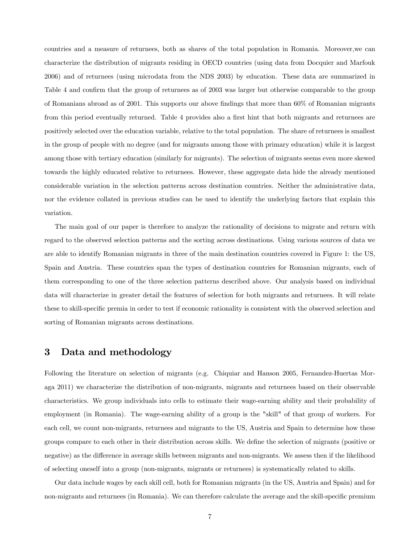countries and a measure of returnees, both as shares of the total population in Romania. Moreover,we can characterize the distribution of migrants residing in OECD countries (using data from Docquier and Marfouk 2006) and of returnees (using microdata from the NDS 2003) by education. These data are summarized in Table 4 and confirm that the group of returnees as of 2003 was larger but otherwise comparable to the group of Romanians abroad as of 2001. This supports our above findings that more than 60% of Romanian migrants from this period eventually returned. Table 4 provides also a first hint that both migrants and returnees are positively selected over the education variable, relative to the total population. The share of returnees is smallest in the group of people with no degree (and for migrants among those with primary education) while it is largest among those with tertiary education (similarly for migrants). The selection of migrants seems even more skewed towards the highly educated relative to returnees. However, these aggregate data hide the already mentioned considerable variation in the selection patterns across destination countries. Neither the administrative data, nor the evidence collated in previous studies can be used to identify the underlying factors that explain this variation.

The main goal of our paper is therefore to analyze the rationality of decisions to migrate and return with regard to the observed selection patterns and the sorting across destinations. Using various sources of data we are able to identify Romanian migrants in three of the main destination countries covered in Figure 1: the US, Spain and Austria. These countries span the types of destination countries for Romanian migrants, each of them corresponding to one of the three selection patterns described above. Our analysis based on individual data will characterize in greater detail the features of selection for both migrants and returnees. It will relate these to skill-specific premia in order to test if economic rationality is consistent with the observed selection and sorting of Romanian migrants across destinations.

### 3 Data and methodology

Following the literature on selection of migrants (e.g. Chiquiar and Hanson 2005, Fernandez-Huertas Moraga 2011) we characterize the distribution of non-migrants, migrants and returnees based on their observable characteristics. We group individuals into cells to estimate their wage-earning ability and their probability of employment (in Romania). The wage-earning ability of a group is the "skill" of that group of workers. For each cell, we count non-migrants, returnees and migrants to the US, Austria and Spain to determine how these groups compare to each other in their distribution across skills. We define the selection of migrants (positive or negative) as the difference in average skills between migrants and non-migrants. We assess then if the likelihood of selecting oneself into a group (non-migrants, migrants or returnees) is systematically related to skills.

Our data include wages by each skill cell, both for Romanian migrants (in the US, Austria and Spain) and for non-migrants and returnees (in Romania). We can therefore calculate the average and the skill-specific premium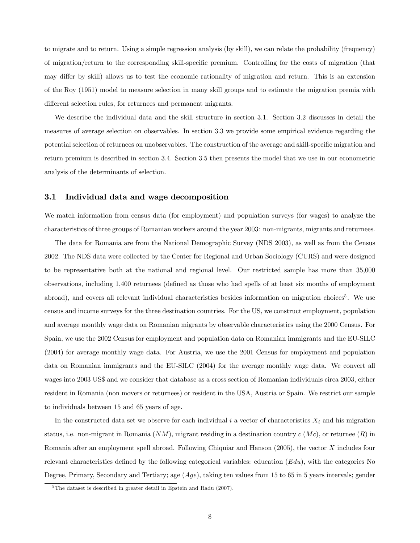to migrate and to return. Using a simple regression analysis (by skill), we can relate the probability (frequency) of migration/return to the corresponding skill-specific premium. Controlling for the costs of migration (that may differ by skill) allows us to test the economic rationality of migration and return. This is an extension of the Roy (1951) model to measure selection in many skill groups and to estimate the migration premia with different selection rules, for returnees and permanent migrants.

We describe the individual data and the skill structure in section 3.1. Section 3.2 discusses in detail the measures of average selection on observables. In section 3.3 we provide some empirical evidence regarding the potential selection of returnees on unobservables. The construction of the average and skill-specific migration and return premium is described in section 3.4. Section 3.5 then presents the model that we use in our econometric analysis of the determinants of selection.

#### 3.1 Individual data and wage decomposition

We match information from census data (for employment) and population surveys (for wages) to analyze the characteristics of three groups of Romanian workers around the year 2003: non-migrants, migrants and returnees.

The data for Romania are from the National Demographic Survey (NDS 2003), as well as from the Census 2002. The NDS data were collected by the Center for Regional and Urban Sociology (CURS) and were designed to be representative both at the national and regional level. Our restricted sample has more than 35,000 observations, including 1,400 returnees (defined as those who had spells of at least six months of employment abroad), and covers all relevant individual characteristics besides information on migration choices<sup>5</sup>. We use census and income surveys for the three destination countries. For the US, we construct employment, population and average monthly wage data on Romanian migrants by observable characteristics using the 2000 Census. For Spain, we use the 2002 Census for employment and population data on Romanian immigrants and the EU-SILC (2004) for average monthly wage data. For Austria, we use the 2001 Census for employment and population data on Romanian immigrants and the EU-SILC (2004) for the average monthly wage data. We convert all wages into 2003 US\$ and we consider that database as a cross section of Romanian individuals circa 2003, either resident in Romania (non movers or returnees) or resident in the USA, Austria or Spain. We restrict our sample to individuals between 15 and 65 years of age.

In the constructed data set we observe for each individual  $i$  a vector of characteristics  $X_i$  and his migration status, i.e. non-migrant in Romania  $(NM)$ , migrant residing in a destination country  $c(Mc)$ , or returnee  $(R)$  in Romania after an employment spell abroad. Following Chiquiar and Hanson  $(2005)$ , the vector  $X$  includes four relevant characteristics defined by the following categorical variables: education  $(Edu)$ , with the categories No Degree, Primary, Secondary and Tertiary; age  $(Age)$ , taking ten values from 15 to 65 in 5 years intervals; gender

<sup>5</sup>The dataset is described in greater detail in Epstein and Radu (2007).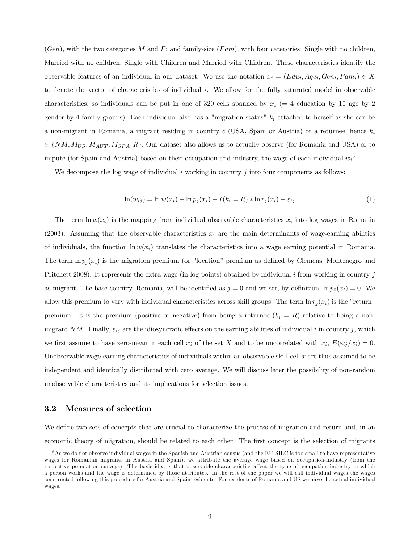$(Gen)$ , with the two categories M and F; and family-size  $(Fam)$ , with four categories: Single with no children, Married with no children, Single with Children and Married with Children. These characteristics identify the observable features of an individual in our dataset. We use the notation  $x_i = (E du_i, A g e_i, G en_i, F am_i) \in X$ to denote the vector of characteristics of individual  $i$ . We allow for the fully saturated model in observable characteristics, so individuals can be put in one of 320 cells spanned by  $x_i$  (= 4 education by 10 age by 2 gender by 4 family groups). Each individual also has a "migration status"  $k_i$  attached to herself as she can be a non-migrant in Romania, a migrant residing in country  $c$  (USA, Spain or Austria) or a returnee, hence  $k_i$  $\in \{NM, M_{US}, M_{AUT}, M_{SPA}, R\}$ . Our dataset also allows us to actually observe (for Romania and USA) or to impute (for Spain and Austria) based on their occupation and industry, the wage of each individual  $w_i^6$ .

We decompose the log wage of individual  $i$  working in country  $j$  into four components as follows:

$$
\ln(w_{ij}) = \ln w(x_i) + \ln p_j(x_i) + I(k_i = R) * \ln r_j(x_i) + \varepsilon_{ij}
$$
\n(1)

The term  $\ln w(x_i)$  is the mapping from individual observable characteristics  $x_i$  into log wages in Romania (2003). Assuming that the observable characteristics  $x_i$  are the main determinants of wage-earning abilities of individuals, the function  $\ln w(x_i)$  translates the characteristics into a wage earning potential in Romania. The term  $\ln p_i(x_i)$  is the migration premium (or "location" premium as defined by Clemens, Montenegro and Pritchett 2008). It represents the extra wage (in log points) obtained by individual  $i$  from working in country  $j$ as migrant. The base country, Romania, will be identified as  $j=0$  and we set, by definition,  $\ln p_0(x_i)=0$ . We allow this premium to vary with individual characteristics across skill groups. The term  $\ln r_i(x_i)$  is the "return" premium. It is the premium (positive or negative) from being a returnee  $(k_i = R)$  relative to being a nonmigrant NM. Finally,  $\varepsilon_{ij}$  are the idiosyncratic effects on the earning abilities of individual i in country j, which we first assume to have zero-mean in each cell  $x_i$  of the set X and to be uncorrelated with  $x_i$ ,  $E(\varepsilon_{ij}/x_i)=0$ . Unobservable wage-earning characteristics of individuals within an observable skill-cell  $x$  are thus assumed to be independent and identically distributed with zero average. We will discuss later the possibility of non-random unobservable characteristics and its implications for selection issues.

#### 3.2 Measures of selection

We define two sets of concepts that are crucial to characterize the process of migration and return and, in an economic theory of migration, should be related to each other. The first concept is the selection of migrants

<sup>&</sup>lt;sup>6</sup>As we do not observe individual wages in the Spanish and Austrian census (and the EU-SILC is too small to have representative wages for Romanian migrants in Austria and Spain), we attribute the average wage based on occupation-industry (from the respective population surveys). The basic idea is that observable characteristics affect the type of occupation-industry in which a person works and the wage is determined by those attributes. In the rest of the paper we will call individual wages the wages constructed following this procedure for Austria and Spain residents. For residents of Romania and US we have the actual individual wages.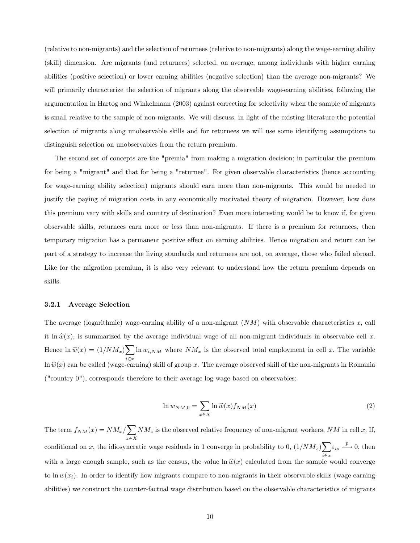(relative to non-migrants) and the selection of returnees (relative to non-migrants) along the wage-earning ability (skill) dimension. Are migrants (and returnees) selected, on average, among individuals with higher earning abilities (positive selection) or lower earning abilities (negative selection) than the average non-migrants? We will primarily characterize the selection of migrants along the observable wage-earning abilities, following the argumentation in Hartog and Winkelmann (2003) against correcting for selectivity when the sample of migrants is small relative to the sample of non-migrants. We will discuss, in light of the existing literature the potential selection of migrants along unobservable skills and for returnees we will use some identifying assumptions to distinguish selection on unobservables from the return premium.

The second set of concepts are the "premia" from making a migration decision; in particular the premium for being a "migrant" and that for being a "returnee". For given observable characteristics (hence accounting for wage-earning ability selection) migrants should earn more than non-migrants. This would be needed to justify the paying of migration costs in any economically motivated theory of migration. However, how does this premium vary with skills and country of destination? Even more interesting would be to know if, for given observable skills, returnees earn more or less than non-migrants. If there is a premium for returnees, then temporary migration has a permanent positive effect on earning abilities. Hence migration and return can be part of a strategy to increase the living standards and returnees are not, on average, those who failed abroad. Like for the migration premium, it is also very relevant to understand how the return premium depends on skills.

#### 3.2.1 Average Selection

The average (logarithmic) wage-earning ability of a non-migrant  $(NM)$  with observable characteristics  $x$ , call it ln  $\hat{w}(x)$ , is summarized by the average individual wage of all non-migrant individuals in observable cell x. Hence  $\ln \hat{w}(x) = (1/NM_x) \sum_{k} \ln w_{i,NM}$  where  $NM_x$  is the observed total employment in cell x. The variable  $\ln \hat{w}(x)$  can be called (wage-earning) skill of group x. The average observed skill of the non-migrants in Romania ("country 0"), corresponds therefore to their average log wage based on observables:

$$
\ln w_{NM,0} = \sum_{x \in X} \ln \widehat{w}(x) f_{NM}(x) \tag{2}
$$

The term  $f_{NM}(x) = NM_x / \sum NM_x$  is the observed relative frequency of non-migrant workers, NM in cell x. If,  $z \in X$ conditional on x, the idiosyncratic wage residuals in 1 converge in probability to 0,  $(1/NM_x)\sum_{i} \varepsilon_{io} \xrightarrow{p} 0$ , then with a large enough sample, such as the census, the value  $\ln \hat{w}(x)$  calculated from the sample would converge to  $\ln w(x_i)$ . In order to identify how migrants compare to non-migrants in their observable skills (wage earning abilities) we construct the counter-factual wage distribution based on the observable characteristics of migrants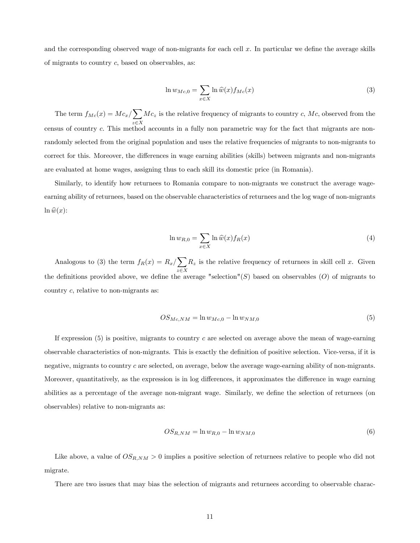and the corresponding observed wage of non-migrants for each cell x. In particular we define the average skills of migrants to country  $c$ , based on observables, as:

$$
\ln w_{Mc,0} = \sum_{x \in X} \ln \widehat{w}(x) f_{Mc}(x) \tag{3}
$$

The term  $f_{Mc}(x) = Mc_x / \sum$  $z \in X$  $Mc_z$  is the relative frequency of migrants to country c,  $Mc$ , observed from the census of country c. This method accounts in a fully non parametric way for the fact that migrants are nonrandomly selected from the original population and uses the relative frequencies of migrants to non-migrants to correct for this. Moreover, the differences in wage earning abilities (skills) between migrants and non-migrants are evaluated at home wages, assigning thus to each skill its domestic price (in Romania).

Similarly, to identify how returnees to Romania compare to non-migrants we construct the average wageearning ability of returnees, based on the observable characteristics of returnees and the log wage of non-migrants  $\ln \widehat{w}(x)$ :

$$
\ln w_{R,0} = \sum_{x \in X} \ln \widehat{w}(x) f_R(x) \tag{4}
$$

Analogous to (3) the term  $f_R(x) = R_x / \sum$  $z \in X$  $R_z$  is the relative frequency of returnees in skill cell x. Given the definitions provided above, we define the average "selection"(S) based on observables (O) of migrants to country  $c$ , relative to non-migrants as:

$$
OS_{Mc, NM} = \ln w_{Mc,0} - \ln w_{NM,0}
$$
\n(5)

If expression  $(5)$  is positive, migrants to country c are selected on average above the mean of wage-earning observable characteristics of non-migrants. This is exactly the definition of positive selection. Vice-versa, if it is negative, migrants to country  $c$  are selected, on average, below the average wage-earning ability of non-migrants. Moreover, quantitatively, as the expression is in log differences, it approximates the difference in wage earning abilities as a percentage of the average non-migrant wage. Similarly, we define the selection of returnees (on observables) relative to non-migrants as:

$$
OS_{R,NM} = \ln w_{R,0} - \ln w_{NM,0}
$$
 (6)

Like above, a value of  $OS_{R,NM} > 0$  implies a positive selection of returnees relative to people who did not migrate.

There are two issues that may bias the selection of migrants and returnees according to observable charac-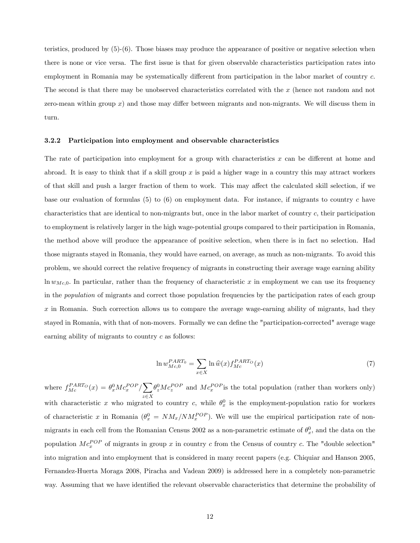teristics, produced by (5)-(6). Those biases may produce the appearance of positive or negative selection when there is none or vice versa. The first issue is that for given observable characteristics participation rates into employment in Romania may be systematically different from participation in the labor market of country c. The second is that there may be unobserved characteristics correlated with the  $x$  (hence not random and not zero-mean within group  $x$ ) and those may differ between migrants and non-migrants. We will discuss them in turn.

#### 3.2.2 Participation into employment and observable characteristics

The rate of participation into employment for a group with characteristics  $x$  can be different at home and abroad. It is easy to think that if a skill group  $x$  is paid a higher wage in a country this may attract workers of that skill and push a larger fraction of them to work. This may affect the calculated skill selection, if we base our evaluation of formulas  $(5)$  to  $(6)$  on employment data. For instance, if migrants to country c have characteristics that are identical to non-migrants but, once in the labor market of country  $c$ , their participation to employment is relatively larger in the high wage-potential groups compared to their participation in Romania, the method above will produce the appearance of positive selection, when there is in fact no selection. Had those migrants stayed in Romania, they would have earned, on average, as much as non-migrants. To avoid this problem, we should correct the relative frequency of migrants in constructing their average wage earning ability  $\ln w_{Mc,0}$ . In particular, rather than the frequency of characteristic x in employment we can use its frequency in the population of migrants and correct those population frequencies by the participation rates of each group  $x$  in Romania. Such correction allows us to compare the average wage-earning ability of migrants, had they stayed in Romania, with that of non-movers. Formally we can define the "participation-corrected" average wage earning ability of migrants to country  $c$  as follows:

$$
\ln w_{Mc,0}^{PART_0} = \sum_{x \in X} \ln \widehat{w}(x) f_{Mc}^{PART_O}(x)
$$
\n(7)

where  $f_{Mc}^{PARTO}(x) = \theta_x^0 Mc_x^{POP} / \sum$  $z \in X$  $\theta_z^0 M c_z^{POP}$  and  $M c_x^{POP}$  is the total population (rather than workers only) with characteristic x who migrated to country c, while  $\theta_x^0$  is the employment-population ratio for workers of characteristic x in Romania  $(\theta_x^0 = NM_x/NM_x^{POP})$ . We will use the empirical participation rate of nonmigrants in each cell from the Romanian Census 2002 as a non-parametric estimate of  $\theta_x^0$ , and the data on the population  $Mc_x^{POP}$  of migrants in group x in country c from the Census of country c. The "double selection" into migration and into employment that is considered in many recent papers (e.g. Chiquiar and Hanson 2005, Fernandez-Huerta Moraga 2008, Piracha and Vadean 2009) is addressed here in a completely non-parametric way. Assuming that we have identified the relevant observable characteristics that determine the probability of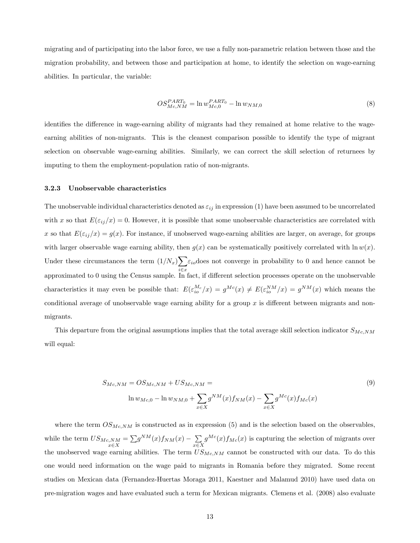migrating and of participating into the labor force, we use a fully non-parametric relation between those and the migration probability, and between those and participation at home, to identify the selection on wage-earning abilities. In particular, the variable:

$$
OS_{Mc,NM}^{PART_0} = \ln w_{Mc,0}^{PART_0} - \ln w_{NM,0}
$$
\n(8)

identifies the difference in wage-earning ability of migrants had they remained at home relative to the wageearning abilities of non-migrants. This is the cleanest comparison possible to identify the type of migrant selection on observable wage-earning abilities. Similarly, we can correct the skill selection of returnees by imputing to them the employment-population ratio of non-migrants.

#### 3.2.3 Unobservable characteristics

The unobservable individual characteristics denoted as  $\varepsilon_{ij}$  in expression (1) have been assumed to be uncorrelated with x so that  $E(\varepsilon_{ij}/x)=0$ . However, it is possible that some unobservable characteristics are correlated with x so that  $E(\varepsilon_{ij}/x) = g(x)$ . For instance, if unobserved wage-earning abilities are larger, on average, for groups with larger observable wage earning ability, then  $g(x)$  can be systematically positively correlated with  $\ln w(x)$ . Under these circumstances the term  $(1/N_x)\sum$ i∈x<br>™  $\varepsilon_{io}$ does not converge in probability to 0 and hence cannot be approximated to 0 using the Census sample. In fact, if different selection processes operate on the unobservable characteristics it may even be possible that:  $E(\epsilon_{io}^{M_c}/x) = g^{Mc}(x) \neq E(\epsilon_{io}^{NM}/x) = g^{NM}(x)$  which means the conditional average of unobservable wage earning ability for a group  $x$  is different between migrants and nonmigrants.

This departure from the original assumptions implies that the total average skill selection indicator  $S_{Mc,NM}$ will equal:

$$
S_{Mc,NM} = OS_{Mc,NM} + US_{Mc,NM} =
$$
  
\n
$$
\ln w_{Mc,0} - \ln w_{NM,0} + \sum_{x \in X} g^{NM}(x) f_{NM}(x) - \sum_{x \in X} g^{Mc}(x) f_{Mc}(x)
$$
\n(9)

where the term  $OS_{Mc,NM}$  is constructed as in expression (5) and is the selection based on the observables, while the term  $US_{Mc,NM} = \sum$  $\sum_{x \in X} N M = \sum g^{NM}(x) f_{NM}(x) - \sum_{x \in X}$  $g^{Mc}(x) f_{Mc}(x)$  is capturing the selection of migrants over the unobserved wage earning abilities. The term  $US_{Mc,NM}$  cannot be constructed with our data. To do this one would need information on the wage paid to migrants in Romania before they migrated. Some recent studies on Mexican data (Fernandez-Huertas Moraga 2011, Kaestner and Malamud 2010) have used data on pre-migration wages and have evaluated such a term for Mexican migrants. Clemens et al. (2008) also evaluate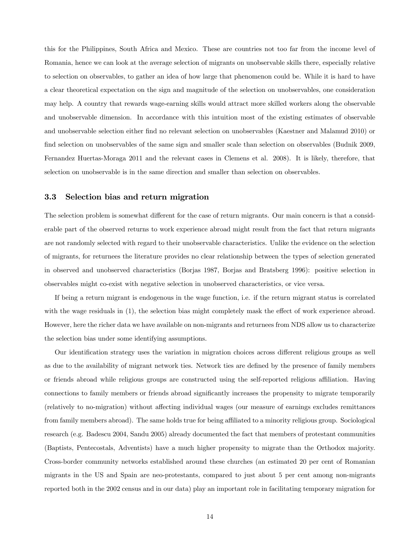this for the Philippines, South Africa and Mexico. These are countries not too far from the income level of Romania, hence we can look at the average selection of migrants on unobservable skills there, especially relative to selection on observables, to gather an idea of how large that phenomenon could be. While it is hard to have a clear theoretical expectation on the sign and magnitude of the selection on unobservables, one consideration may help. A country that rewards wage-earning skills would attract more skilled workers along the observable and unobservable dimension. In accordance with this intuition most of the existing estimates of observable and unobservable selection either find no relevant selection on unobservables (Kaestner and Malamud 2010) or find selection on unobservables of the same sign and smaller scale than selection on observables (Budnik 2009, Fernandez Huertas-Moraga 2011 and the relevant cases in Clemens et al. 2008). It is likely, therefore, that selection on unobservable is in the same direction and smaller than selection on observables.

#### 3.3 Selection bias and return migration

The selection problem is somewhat different for the case of return migrants. Our main concern is that a considerable part of the observed returns to work experience abroad might result from the fact that return migrants are not randomly selected with regard to their unobservable characteristics. Unlike the evidence on the selection of migrants, for returnees the literature provides no clear relationship between the types of selection generated in observed and unobserved characteristics (Borjas 1987, Borjas and Bratsberg 1996): positive selection in observables might co-exist with negative selection in unobserved characteristics, or vice versa.

If being a return migrant is endogenous in the wage function, i.e. if the return migrant status is correlated with the wage residuals in (1), the selection bias might completely mask the effect of work experience abroad. However, here the richer data we have available on non-migrants and returnees from NDS allow us to characterize the selection bias under some identifying assumptions.

Our identification strategy uses the variation in migration choices across different religious groups as well as due to the availability of migrant network ties. Network ties are defined by the presence of family members or friends abroad while religious groups are constructed using the self-reported religious affiliation. Having connections to family members or friends abroad significantly increases the propensity to migrate temporarily (relatively to no-migration) without affecting individual wages (our measure of earnings excludes remittances from family members abroad). The same holds true for being affiliated to a minority religious group. Sociological research (e.g. Badescu 2004, Sandu 2005) already documented the fact that members of protestant communities (Baptists, Pentecostals, Adventists) have a much higher propensity to migrate than the Orthodox majority. Cross-border community networks established around these churches (an estimated 20 per cent of Romanian migrants in the US and Spain are neo-protestants, compared to just about 5 per cent among non-migrants reported both in the 2002 census and in our data) play an important role in facilitating temporary migration for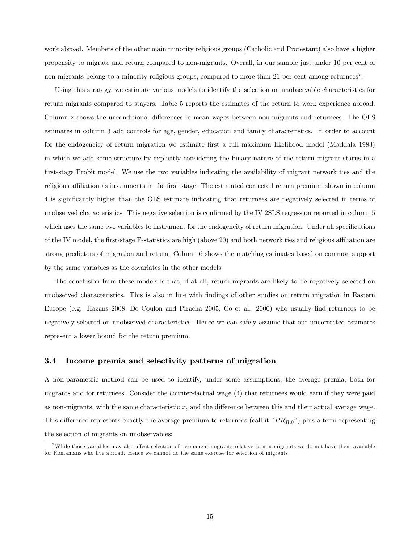work abroad. Members of the other main minority religious groups (Catholic and Protestant) also have a higher propensity to migrate and return compared to non-migrants. Overall, in our sample just under 10 per cent of non-migrants belong to a minority religious groups, compared to more than 21 per cent among returnees<sup>7</sup>.

Using this strategy, we estimate various models to identify the selection on unobservable characteristics for return migrants compared to stayers. Table 5 reports the estimates of the return to work experience abroad. Column 2 shows the unconditional differences in mean wages between non-migrants and returnees. The OLS estimates in column 3 add controls for age, gender, education and family characteristics. In order to account for the endogeneity of return migration we estimate first a full maximum likelihood model (Maddala 1983) in which we add some structure by explicitly considering the binary nature of the return migrant status in a first-stage Probit model. We use the two variables indicating the availability of migrant network ties and the religious affiliation as instruments in the first stage. The estimated corrected return premium shown in column 4 is significantly higher than the OLS estimate indicating that returnees are negatively selected in terms of unobserved characteristics. This negative selection is confirmed by the IV 2SLS regression reported in column 5 which uses the same two variables to instrument for the endogeneity of return migration. Under all specifications of the IV model, the first-stage F-statistics are high (above 20) and both network ties and religious affiliation are strong predictors of migration and return. Column 6 shows the matching estimates based on common support by the same variables as the covariates in the other models.

The conclusion from these models is that, if at all, return migrants are likely to be negatively selected on unobserved characteristics. This is also in line with findings of other studies on return migration in Eastern Europe (e.g. Hazans 2008, De Coulon and Piracha 2005, Co et al. 2000) who usually find returnees to be negatively selected on unobserved characteristics. Hence we can safely assume that our uncorrected estimates represent a lower bound for the return premium.

#### 3.4 Income premia and selectivity patterns of migration

A non-parametric method can be used to identify, under some assumptions, the average premia, both for migrants and for returnees. Consider the counter-factual wage (4) that returnees would earn if they were paid as non-migrants, with the same characteristic  $x$ , and the difference between this and their actual average wage. This difference represents exactly the average premium to returnees (call it " $PR_{R,0}$ ") plus a term representing the selection of migrants on unobservables:

<sup>7</sup>While those variables may also affect selection of permanent migrants relative to non-migrants we do not have them available for Romanians who live abroad. Hence we cannot do the same exercise for selection of migrants.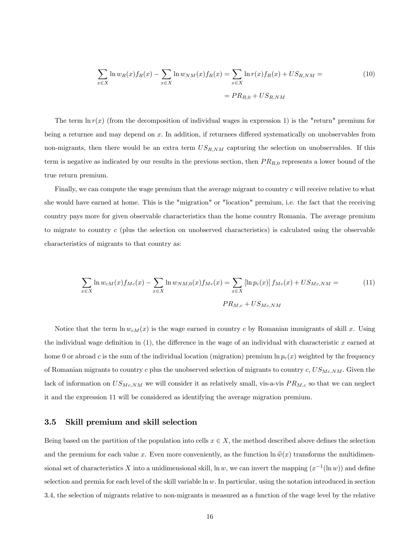$$
\sum_{x \in X} \ln w_R(x) f_R(x) - \sum_{x \in X} \ln w_{NM}(x) f_R(x) = \sum_{x \in X} \ln r(x) f_R(x) + US_{R,NM} =
$$
  
=  $PR_{R,0} + US_{R,NM}$  (10)

The term  $\ln r(x)$  (from the decomposition of individual wages in expression 1) is the "return" premium for being a returnee and may depend on x. In addition, if returnees differed systematically on unobservables from non-migrants, then there would be an extra term  $US_{R,NM}$  capturing the selection on unobservables. If this term is negative as indicated by our results in the previous section, then  $PR_{R,0}$  represents a lower bound of the true return premium.

Finally, we can compute the wage premium that the average migrant to country c will receive relative to what she would have earned at home. This is the "migration" or "location" premium, i.e. the fact that the receiving country pays more for given observable characteristics than the home country Romania. The average premium to migrate to country (plus the selection on unobserved characteristics) is calculated using the observable characteristics of migrants to that country as:

$$
\sum_{x \in X} \ln w_{cM}(x) f_{Mc}(x) - \sum_{x \in X} \ln w_{NM,0}(x) f_{Mc}(x) = \sum_{x \in X} [\ln p_c(x)] f_{Mc}(x) + US_{Mc,NM} =
$$
\n(11)

Notice that the term  $\ln w_{cM}(x)$  is the wage earned in country c by Romanian immigrants of skill x. Using the individual wage definition in  $(1)$ , the difference in the wage of an individual with characteristic x earned at home 0 or abroad c is the sum of the individual location (migration) premium  $\ln p_c(x)$  weighted by the frequency of Romanian migrants to country  $c$  plus the unobserved selection of migrants to country  $c, US_{Mc,NM}$ . Given the lack of information on  $US_{Mc,NM}$  we will consider it as relatively small, vis-a-vis  $PR_{M,c}$  so that we can neglect it and the expression 11 will be considered as identifying the average migration premium.

#### 3.5 Skill premium and skill selection

Being based on the partition of the population into cells  $x \in X$ , the method described above defines the selection and the premium for each value x. Even more conveniently, as the function  $\ln \hat{w}(x)$  transforms the multidimensional set of characteristics X into a unidimensional skill, ln w, we can invert the mapping  $(x^{-1}(\ln w))$  and define selection and premia for each level of the skill variable  $\ln w$ . In particular, using the notation introduced in section 3.4, the selection of migrants relative to non-migrants is measured as a function of the wage level by the relative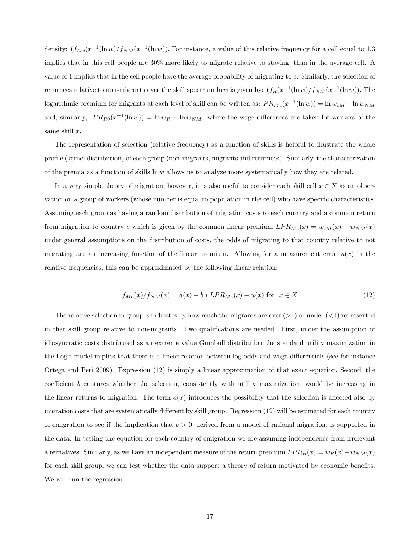density:  $(f_{Mc}(x^{-1}(\ln w)/f_{NM}(x^{-1}(\ln w)))$ . For instance, a value of this relative frequency for a cell equal to 1.3 implies that in this cell people are 30% more likely to migrate relative to staying, than in the average cell. A value of 1 implies that in the cell people have the average probability of migrating to . Similarly, the selection of returnees relative to non-migrants over the skill spectrum  $\ln w$  is given by:  $(f_R(x^{-1}(\ln w)/f_{NM}(x^{-1}(\ln w)))$ . The logarithmic premium for migrants at each level of skill can be written as:  $PR_{Mc}(x^{-1}(\ln w)) = \ln w_{cM} - \ln w_{NM}$ and, similarly,  $PR_{R0}(x^{-1}(\ln w)) = \ln w_R - \ln w_{NM}$  where the wage differences are taken for workers of the same skill  $x$ .

The representation of selection (relative frequency) as a function of skills is helpful to illustrate the whole profile (kernel distribution) of each group (non-migrants, migrants and returnees). Similarly, the characterization of the premia as a function of skills  $\ln w$  allows us to analyze more systematically how they are related.

In a very simple theory of migration, however, it is also useful to consider each skill cell  $x \in X$  as an observation on a group of workers (whose number is equal to population in the cell) who have specific characteristics. Assuming each group as having a random distribution of migration costs to each country and a common return from migration to country c which is given by the common linear premium  $LPR_{Mc}(x) = w_{cM}(x) - w_{NM}(x)$ under general assumptions on the distribution of costs, the odds of migrating to that country relative to not migrating are an increasing function of the linear premium. Allowing for a measurement error  $u(x)$  in the relative frequencies, this can be approximated by the following linear relation:

$$
f_{Mc}(x) / f_{NM}(x) = a(x) + b * LPR_{Mc}(x) + u(x) \text{ for } x \in X
$$
 (12)

The relative selection in group x indicates by how much the migrants are over  $(1)$  or under  $(1)$  represented in that skill group relative to non-migrants. Two qualifications are needed. First, under the assumption of idiosyncratic costs distributed as an extreme value Gumbull distribution the standard utility maximization in the Logit model implies that there is a linear relation between log odds and wage differentials (see for instance Ortega and Peri 2009). Expression (12) is simply a linear approximation of that exact equation Second, the coefficient *b* captures whether the selection, consistently with utility maximization, would be increasing in the linear returns to migration. The term  $a(x)$  introduces the possibility that the selection is affected also by migration costs that are systematically different by skill group. Regression (12) will be estimated for each country of emigration to see if the implication that  $b > 0$ , derived from a model of rational migration, is supported in the data. In testing the equation for each country of emigration we are assuming independence from irrelevant alternatives. Similarly, as we have an independent measure of the return premium  $LPR_R(x) = w_R(x) - w_{NM}(x)$ for each skill group, we can test whether the data support a theory of return motivated by economic benefits. We will run the regression: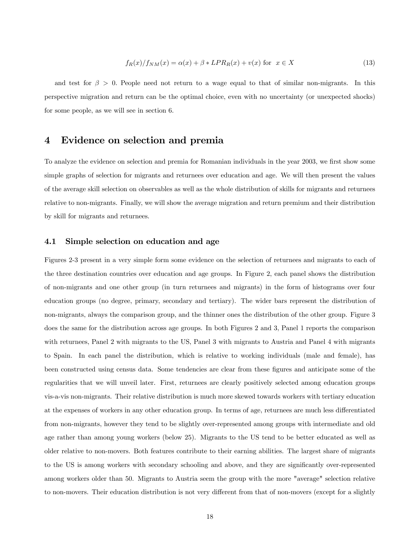$$
f_R(x)/f_{NM}(x) = \alpha(x) + \beta * LPR_R(x) + v(x) \text{ for } x \in X
$$
\n(13)

and test for  $\beta > 0$ . People need not return to a wage equal to that of similar non-migrants. In this perspective migration and return can be the optimal choice, even with no uncertainty (or unexpected shocks) for some people, as we will see in section 6.

### 4 Evidence on selection and premia

To analyze the evidence on selection and premia for Romanian individuals in the year 2003, we first show some simple graphs of selection for migrants and returnees over education and age. We will then present the values of the average skill selection on observables as well as the whole distribution of skills for migrants and returnees relative to non-migrants. Finally, we will show the average migration and return premium and their distribution by skill for migrants and returnees.

#### 4.1 Simple selection on education and age

Figures 2-3 present in a very simple form some evidence on the selection of returnees and migrants to each of the three destination countries over education and age groups. In Figure 2, each panel shows the distribution of non-migrants and one other group (in turn returnees and migrants) in the form of histograms over four education groups (no degree, primary, secondary and tertiary). The wider bars represent the distribution of non-migrants, always the comparison group, and the thinner ones the distribution of the other group. Figure 3 does the same for the distribution across age groups. In both Figures 2 and 3, Panel 1 reports the comparison with returnees, Panel 2 with migrants to the US, Panel 3 with migrants to Austria and Panel 4 with migrants to Spain. In each panel the distribution, which is relative to working individuals (male and female), has been constructed using census data. Some tendencies are clear from these figures and anticipate some of the regularities that we will unveil later. First, returnees are clearly positively selected among education groups vis-a-vis non-migrants. Their relative distribution is much more skewed towards workers with tertiary education at the expenses of workers in any other education group. In terms of age, returnees are much less differentiated from non-migrants, however they tend to be slightly over-represented among groups with intermediate and old age rather than among young workers (below 25). Migrants to the US tend to be better educated as well as older relative to non-movers. Both features contribute to their earning abilities. The largest share of migrants to the US is among workers with secondary schooling and above, and they are significantly over-represented among workers older than 50. Migrants to Austria seem the group with the more "average" selection relative to non-movers. Their education distribution is not very different from that of non-movers (except for a slightly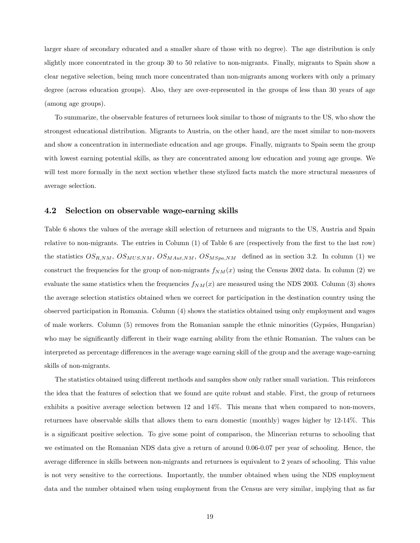larger share of secondary educated and a smaller share of those with no degree). The age distribution is only slightly more concentrated in the group 30 to 50 relative to non-migrants. Finally, migrants to Spain show a clear negative selection, being much more concentrated than non-migrants among workers with only a primary degree (across education groups). Also, they are over-represented in the groups of less than 30 years of age (among age groups).

To summarize, the observable features of returnees look similar to those of migrants to the US, who show the strongest educational distribution. Migrants to Austria, on the other hand, are the most similar to non-movers and show a concentration in intermediate education and age groups. Finally, migrants to Spain seem the group with lowest earning potential skills, as they are concentrated among low education and young age groups. We will test more formally in the next section whether these stylized facts match the more structural measures of average selection.

#### 4.2 Selection on observable wage-earning skills

Table 6 shows the values of the average skill selection of returnees and migrants to the US, Austria and Spain relative to non-migrants. The entries in Column (1) of Table 6 are (respectively from the first to the last row) the statistics  $OS_{R,NM}$ ,  $OS_{MUS,NM}$ ,  $OS_{MAut,NM}$ ,  $OS_{MSpa,NM}$  defined as in section 3.2. In column (1) we construct the frequencies for the group of non-migrants  $f_{NM}(x)$  using the Census 2002 data. In column (2) we evaluate the same statistics when the frequencies  $f_{NM}(x)$  are measured using the NDS 2003. Column (3) shows the average selection statistics obtained when we correct for participation in the destination country using the observed participation in Romania. Column (4) shows the statistics obtained using only employment and wages of male workers. Column (5) removes from the Romanian sample the ethnic minorities (Gypsies, Hungarian) who may be significantly different in their wage earning ability from the ethnic Romanian. The values can be interpreted as percentage differences in the average wage earning skill of the group and the average wage-earning skills of non-migrants.

The statistics obtained using different methods and samples show only rather small variation. This reinforces the idea that the features of selection that we found are quite robust and stable. First, the group of returnees exhibits a positive average selection between 12 and 14%. This means that when compared to non-movers, returnees have observable skills that allows them to earn domestic (monthly) wages higher by 12-14%. This is a significant positive selection. To give some point of comparison, the Mincerian returns to schooling that we estimated on the Romanian NDS data give a return of around 0.06-0.07 per year of schooling. Hence, the average difference in skills between non-migrants and returnees is equivalent to 2 years of schooling. This value is not very sensitive to the corrections. Importantly, the number obtained when using the NDS employment data and the number obtained when using employment from the Census are very similar, implying that as far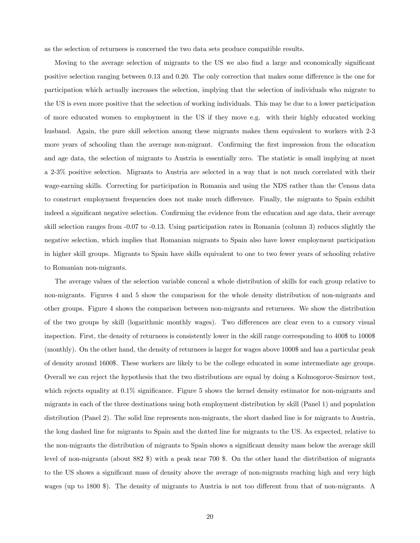as the selection of returnees is concerned the two data sets produce compatible results.

Moving to the average selection of migrants to the US we also find a large and economically significant positive selection ranging between 0.13 and 0.20. The only correction that makes some difference is the one for participation which actually increases the selection, implying that the selection of individuals who migrate to the US is even more positive that the selection of working individuals. This may be due to a lower participation of more educated women to employment in the US if they move e.g. with their highly educated working husband. Again, the pure skill selection among these migrants makes them equivalent to workers with 2-3 more years of schooling than the average non-migrant. Confirming the first impression from the education and age data, the selection of migrants to Austria is essentially zero. The statistic is small implying at most a 2-3% positive selection. Migrants to Austria are selected in a way that is not much correlated with their wage-earning skills. Correcting for participation in Romania and using the NDS rather than the Census data to construct employment frequencies does not make much difference. Finally, the migrants to Spain exhibit indeed a significant negative selection. Confirming the evidence from the education and age data, their average skill selection ranges from -0.07 to -0.13. Using participation rates in Romania (column 3) reduces slightly the negative selection, which implies that Romanian migrants to Spain also have lower employment participation in higher skill groups. Migrants to Spain have skills equivalent to one to two fewer years of schooling relative to Romanian non-migrants.

The average values of the selection variable conceal a whole distribution of skills for each group relative to non-migrants. Figures 4 and 5 show the comparison for the whole density distribution of non-migrants and other groups. Figure 4 shows the comparison between non-migrants and returnees. We show the distribution of the two groups by skill (logarithmic monthly wages). Two differences are clear even to a cursory visual inspection. First, the density of returnees is consistently lower in the skill range corresponding to 400\$ to 1000\$ (monthly). On the other hand, the density of returnees is larger for wages above 1000\$ and has a particular peak of density around 1600\$. These workers are likely to be the college educated in some intermediate age groups. Overall we can reject the hypothesis that the two distributions are equal by doing a Kolmogorov-Smirnov test, which rejects equality at 0.1% significance. Figure 5 shows the kernel density estimator for non-migrants and migrants in each of the three destinations using both employment distribution by skill (Panel 1) and population distribution (Panel 2). The solid line represents non-migrants, the short dashed line is for migrants to Austria, the long dashed line for migrants to Spain and the dotted line for migrants to the US. As expected, relative to the non-migrants the distribution of migrants to Spain shows a significant density mass below the average skill level of non-migrants (about 882 \$) with a peak near 700 \$. On the other hand the distribution of migrants to the US shows a significant mass of density above the average of non-migrants reaching high and very high wages (up to 1800 \$). The density of migrants to Austria is not too different from that of non-migrants. A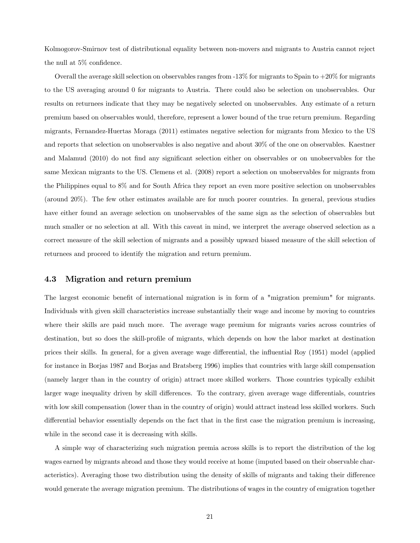Kolmogorov-Smirnov test of distributional equality between non-movers and migrants to Austria cannot reject the null at 5% confidence.

Overall the average skill selection on observables ranges from  $-13\%$  for migrants to Spain to  $+20\%$  for migrants to the US averaging around 0 for migrants to Austria. There could also be selection on unobservables. Our results on returnees indicate that they may be negatively selected on unobservables. Any estimate of a return premium based on observables would, therefore, represent a lower bound of the true return premium. Regarding migrants, Fernandez-Huertas Moraga (2011) estimates negative selection for migrants from Mexico to the US and reports that selection on unobservables is also negative and about 30% of the one on observables. Kaestner and Malamud (2010) do not find any significant selection either on observables or on unobservables for the same Mexican migrants to the US. Clemens et al. (2008) report a selection on unobservables for migrants from the Philippines equal to 8% and for South Africa they report an even more positive selection on unobservables (around 20%). The few other estimates available are for much poorer countries. In general, previous studies have either found an average selection on unobservables of the same sign as the selection of observables but much smaller or no selection at all. With this caveat in mind, we interpret the average observed selection as a correct measure of the skill selection of migrants and a possibly upward biased measure of the skill selection of returnees and proceed to identify the migration and return premium.

#### 4.3 Migration and return premium

The largest economic benefit of international migration is in form of a "migration premium" for migrants. Individuals with given skill characteristics increase substantially their wage and income by moving to countries where their skills are paid much more. The average wage premium for migrants varies across countries of destination, but so does the skill-profile of migrants, which depends on how the labor market at destination prices their skills. In general, for a given average wage differential, the influential Roy (1951) model (applied for instance in Borjas 1987 and Borjas and Bratsberg 1996) implies that countries with large skill compensation (namely larger than in the country of origin) attract more skilled workers. Those countries typically exhibit larger wage inequality driven by skill differences. To the contrary, given average wage differentials, countries with low skill compensation (lower than in the country of origin) would attract instead less skilled workers. Such differential behavior essentially depends on the fact that in the first case the migration premium is increasing, while in the second case it is decreasing with skills.

A simple way of characterizing such migration premia across skills is to report the distribution of the log wages earned by migrants abroad and those they would receive at home (imputed based on their observable characteristics). Averaging those two distribution using the density of skills of migrants and taking their difference would generate the average migration premium. The distributions of wages in the country of emigration together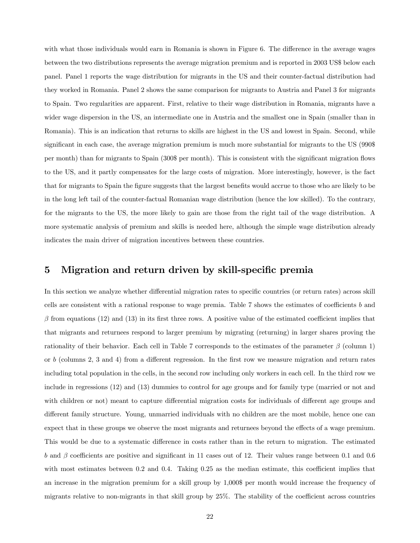with what those individuals would earn in Romania is shown in Figure 6. The difference in the average wages between the two distributions represents the average migration premium and is reported in 2003 US\$ below each panel. Panel 1 reports the wage distribution for migrants in the US and their counter-factual distribution had they worked in Romania. Panel 2 shows the same comparison for migrants to Austria and Panel 3 for migrants to Spain. Two regularities are apparent. First, relative to their wage distribution in Romania, migrants have a wider wage dispersion in the US, an intermediate one in Austria and the smallest one in Spain (smaller than in Romania). This is an indication that returns to skills are highest in the US and lowest in Spain. Second, while significant in each case, the average migration premium is much more substantial for migrants to the US (990\$) per month) than for migrants to Spain (300\$ per month). This is consistent with the significant migration flows to the US, and it partly compensates for the large costs of migration. More interestingly, however, is the fact that for migrants to Spain the figure suggests that the largest benefits would accrue to those who are likely to be in the long left tail of the counter-factual Romanian wage distribution (hence the low skilled). To the contrary, for the migrants to the US, the more likely to gain are those from the right tail of the wage distribution. A more systematic analysis of premium and skills is needed here, although the simple wage distribution already indicates the main driver of migration incentives between these countries.

### 5 Migration and return driven by skill-specific premia

In this section we analyze whether differential migration rates to specific countries (or return rates) across skill cells are consistent with a rational response to wage premia. Table 7 shows the estimates of coefficients b and  $\beta$  from equations (12) and (13) in its first three rows. A positive value of the estimated coefficient implies that that migrants and returnees respond to larger premium by migrating (returning) in larger shares proving the rationality of their behavior. Each cell in Table 7 corresponds to the estimates of the parameter  $\beta$  (column 1) or  $b$  (columns 2, 3 and 4) from a different regression. In the first row we measure migration and return rates including total population in the cells, in the second row including only workers in each cell. In the third row we include in regressions (12) and (13) dummies to control for age groups and for family type (married or not and with children or not) meant to capture differential migration costs for individuals of different age groups and different family structure. Young, unmarried individuals with no children are the most mobile, hence one can expect that in these groups we observe the most migrants and returnees beyond the effects of a wage premium. This would be due to a systematic difference in costs rather than in the return to migration. The estimated b and  $\beta$  coefficients are positive and significant in 11 cases out of 12. Their values range between 0.1 and 0.6 with most estimates between 0.2 and 0.4. Taking 0.25 as the median estimate, this coefficient implies that an increase in the migration premium for a skill group by 1,000\$ per month would increase the frequency of migrants relative to non-migrants in that skill group by 25%. The stability of the coefficient across countries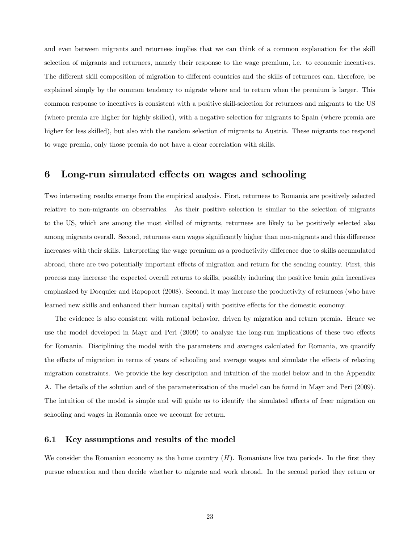and even between migrants and returnees implies that we can think of a common explanation for the skill selection of migrants and returnees, namely their response to the wage premium, i.e. to economic incentives. The different skill composition of migration to different countries and the skills of returnees can, therefore, be explained simply by the common tendency to migrate where and to return when the premium is larger. This common response to incentives is consistent with a positive skill-selection for returnees and migrants to the US (where premia are higher for highly skilled), with a negative selection for migrants to Spain (where premia are higher for less skilled), but also with the random selection of migrants to Austria. These migrants too respond to wage premia, only those premia do not have a clear correlation with skills.

#### 6 Long-run simulated effects on wages and schooling

Two interesting results emerge from the empirical analysis. First, returnees to Romania are positively selected relative to non-migrants on observables. As their positive selection is similar to the selection of migrants to the US, which are among the most skilled of migrants, returnees are likely to be positively selected also among migrants overall. Second, returnees earn wages significantly higher than non-migrants and this difference increases with their skills. Interpreting the wage premium as a productivity difference due to skills accumulated abroad, there are two potentially important effects of migration and return for the sending country. First, this process may increase the expected overall returns to skills, possibly inducing the positive brain gain incentives emphasized by Docquier and Rapoport (2008). Second, it may increase the productivity of returnees (who have learned new skills and enhanced their human capital) with positive effects for the domestic economy.

The evidence is also consistent with rational behavior, driven by migration and return premia. Hence we use the model developed in Mayr and Peri (2009) to analyze the long-run implications of these two effects for Romania. Disciplining the model with the parameters and averages calculated for Romania, we quantify the effects of migration in terms of years of schooling and average wages and simulate the effects of relaxing migration constraints. We provide the key description and intuition of the model below and in the Appendix A. The details of the solution and of the parameterization of the model can be found in Mayr and Peri (2009). The intuition of the model is simple and will guide us to identify the simulated effects of freer migration on schooling and wages in Romania once we account for return.

#### 6.1 Key assumptions and results of the model

We consider the Romanian economy as the home country  $(H)$ . Romanians live two periods. In the first they pursue education and then decide whether to migrate and work abroad. In the second period they return or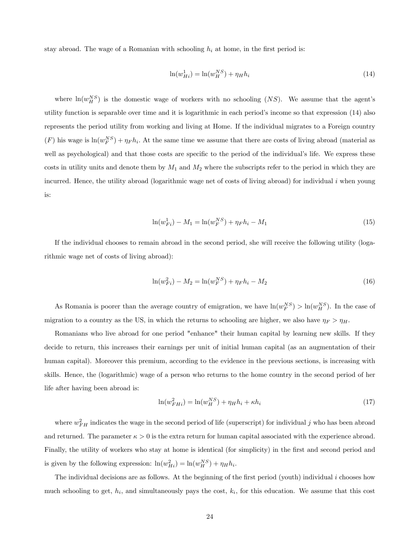stay abroad. The wage of a Romanian with schooling  $h_i$  at home, in the first period is:

$$
\ln(w_{Hi}^1) = \ln(w_{H}^{NS}) + \eta_{H} h_i \tag{14}
$$

where  $\ln(w_H^{NS})$  is the domestic wage of workers with no schooling  $(NS)$ . We assume that the agent's utility function is separable over time and it is logarithmic in each period's income so that expression (14) also represents the period utility from working and living at Home. If the individual migrates to a Foreign country  $(F)$  his wage is  $ln(w_F^{NS}) + \eta_F h_i$ . At the same time we assume that there are costs of living abroad (material as well as psychological) and that those costs are specific to the period of the individual's life. We express these costs in utility units and denote them by  $M_1$  and  $M_2$  where the subscripts refer to the period in which they are incurred. Hence, the utility abroad (logarithmic wage net of costs of living abroad) for individual  $i$  when young is:

$$
\ln(w_{Fi}^1) - M_1 = \ln(w_F^{NS}) + \eta_F h_i - M_1 \tag{15}
$$

If the individual chooses to remain abroad in the second period, she will receive the following utility (logarithmic wage net of costs of living abroad):

$$
\ln(w_{Fi}^2) - M_2 = \ln(w_{F}^{NS}) + \eta_F h_i - M_2 \tag{16}
$$

As Romania is poorer than the average country of emigration, we have  $\ln(w_F^{NS}) > \ln(w_H^{NS})$ . In the case of migration to a country as the US, in which the returns to schooling are higher, we also have  $\eta_F > \eta_H$ .

Romanians who live abroad for one period "enhance" their human capital by learning new skills. If they decide to return, this increases their earnings per unit of initial human capital (as an augmentation of their human capital). Moreover this premium, according to the evidence in the previous sections, is increasing with skills. Hence, the (logarithmic) wage of a person who returns to the home country in the second period of her life after having been abroad is:

$$
\ln(w_{FHi}^2) = \ln(w_H^{NS}) + \eta_H h_i + \kappa h_i \tag{17}
$$

where  $w_{FH}^2$  indicates the wage in the second period of life (superscript) for individual j who has been abroad and returned. The parameter  $\kappa > 0$  is the extra return for human capital associated with the experience abroad. Finally, the utility of workers who stay at home is identical (for simplicity) in the first and second period and is given by the following expression:  $\ln(w_{Hi}^2) = \ln(w_{H}^{NS}) + \eta_{H} h_i$ .

The individual decisions are as follows. At the beginning of the first period (youth) individual  $i$  chooses how much schooling to get,  $h_i$ , and simultaneously pays the cost,  $k_i$ , for this education. We assume that this cost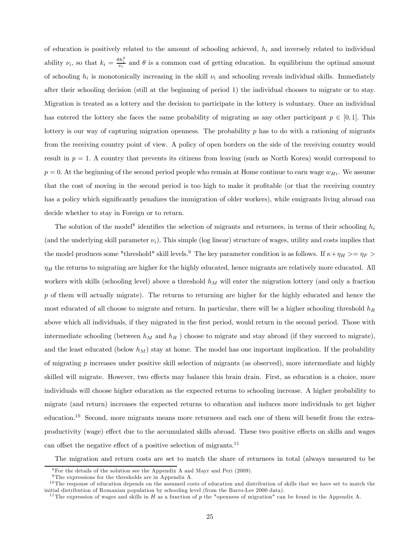of education is positively related to the amount of schooling achieved,  $h_i$  and inversely related to individual ability  $\nu_i$ , so that  $k_i = \frac{\theta h_i^2}{\nu_i}$  and  $\theta$  is a common cost of getting education. In equilibrium the optimal amount of schooling  $h_i$  is monotonically increasing in the skill  $\nu_i$  and schooling reveals individual skills. Immediately after their schooling decision (still at the beginning of period 1) the individual chooses to migrate or to stay. Migration is treated as a lottery and the decision to participate in the lottery is voluntary. Once an individual has entered the lottery she faces the same probability of migrating as any other participant  $p \in [0,1]$ . This lottery is our way of capturing migration openness. The probability p has to do with a rationing of migrants from the receiving country point of view. A policy of open borders on the side of the receiving country would result in  $p = 1$ . A country that prevents its citizens from leaving (such as North Korea) would correspond to  $p = 0$ . At the beginning of the second period people who remain at Home continue to earn wage  $w_{Hi}$ . We assume that the cost of moving in the second period is too high to make it profitable (or that the receiving country has a policy which significantly penalizes the immigration of older workers), while emigrants living abroad can decide whether to stay in Foreign or to return.

The solution of the model<sup>8</sup> identifies the selection of migrants and returnees, in terms of their schooling  $h_i$ (and the underlying skill parameter  $\nu_i$ ). This simple (log linear) structure of wages, utility and costs implies that the model produces some "threshold" skill levels.<sup>9</sup> The key parameter condition is as follows. If  $\kappa + \eta_H > = \eta_F >$  $\eta_H$  the returns to migrating are higher for the highly educated, hence migrants are relatively more educated. All workers with skills (schooling level) above a threshold  $h_M$  will enter the migration lottery (and only a fraction  $p$  of them will actually migrate). The returns to returning are higher for the highly educated and hence the most educated of all choose to migrate and return. In particular, there will be a higher schooling threshold  $h_R$ above which all individuals, if they migrated in the first period, would return in the second period. Those with intermediate schooling (between  $h_M$  and  $h_R$ ) choose to migrate and stay abroad (if they succeed to migrate), and the least educated (below  $h_M$ ) stay at home. The model has one important implication. If the probability of migrating  $p$  increases under positive skill selection of migrants (as observed), more intermediate and highly skilled will migrate. However, two effects may balance this brain drain. First, as education is a choice, more individuals will choose higher education as the expected returns to schooling increase. A higher probability to migrate (and return) increases the expected returns to education and induces more individuals to get higher education.10 Second, more migrants means more returnees and each one of them will benefit from the extraproductivity (wage) effect due to the accumulated skills abroad. These two positive effects on skills and wages can offset the negative effect of a positive selection of migrants.<sup>11</sup>

The migration and return costs are set to match the share of returnees in total (always measured to be

<sup>8</sup>For the details of the solution see the Appendix A and Mayr and Peri (2009).

 $^9\mathrm{The}$  expressions for the thresholds are in Appendix A.

 $10$ The response of education depends on the assumed costs of education and distribution of skills that we have set to match the initial distribution of Romanian population by schooling level (from the Barro-Lee 2000 data).

<sup>&</sup>lt;sup>11</sup>The expression of wages and skills in  $H$  as a function of  $p$  the "openness of migration" can be found in the Appendix A.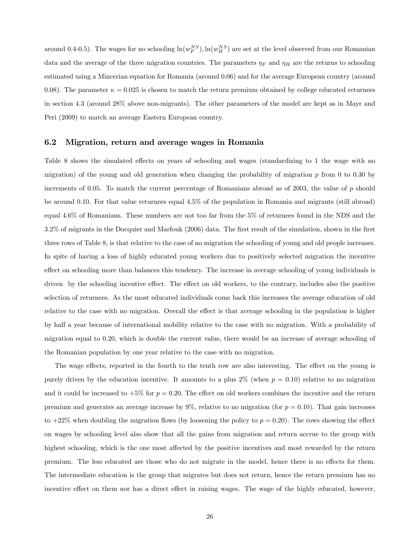around 0.4-0.5). The wages for no schooling  $\ln(w_F^{NS})$ ,  $\ln(w_H^{NS})$  are set at the level observed from our Romanian data and the average of the three migration countries. The parameters  $\eta_F$  and  $\eta_H$  are the returns to schooling estimated using a Mincerian equation for Romania (around 0.06) and for the average European country (around 0.08). The parameter  $\kappa = 0.025$  is chosen to match the return premium obtained by college educated returnees in section 4.3 (around 28% above non-migrants). The other parameters of the model are kept as in Mayr and Peri (2009) to match an average Eastern European country.

#### 6.2 Migration, return and average wages in Romania

Table 8 shows the simulated effects on years of schooling and wages (standardizing to 1 the wage with no migration) of the young and old generation when changing the probability of migration  $p$  from 0 to 0.30 by increments of 0.05. To match the current percentage of Romanians abroad as of 2003, the value of  $p$  should be around 0.10. For that value returnees equal 4.5% of the population in Romania and migrants (still abroad) equal 4.6% of Romanians. These numbers are not too far from the 5% of returnees found in the NDS and the 3.2% of migrants in the Docquier and Marfouk (2006) data. The first result of the simulation, shown in the first three rows of Table 8, is that relative to the case of no migration the schooling of young and old people increases. In spite of having a loss of highly educated young workers due to positively selected migration the incentive effect on schooling more than balances this tendency. The increase in average schooling of young individuals is driven by the schooling incentive effect. The effect on old workers, to the contrary, includes also the positive selection of returnees. As the most educated individuals come back this increases the average education of old relative to the case with no migration. Overall the effect is that average schooling in the population is higher by half a year because of international mobility relative to the case with no migration. With a probability of migration equal to 0.20, which is double the current value, there would be an increase of average schooling of the Romanian population by one year relative to the case with no migration.

The wage effects, reported in the fourth to the tenth row are also interesting. The effect on the young is purely driven by the education incentive. It amounts to a plus  $2\%$  (when  $p = 0.10$ ) relative to no migration and it could be increased to  $+5\%$  for  $p = 0.20$ . The effect on old workers combines the incentive and the return premium and generates an average increase by  $9\%$ , relative to no migration (for  $p = 0.10$ ). That gain increases to  $+22\%$  when doubling the migration flows (by loosening the policy to  $p = 0.20$ ). The rows showing the effect on wages by schooling level also show that all the gains from migration and return accrue to the group with highest schooling, which is the one most affected by the positive incentives and most rewarded by the return premium. The less educated are those who do not migrate in the model, hence there is no effects for them. The intermediate education is the group that migrates but does not return, hence the return premium has no incentive effect on them nor has a direct effect in raising wages. The wage of the highly educated, however,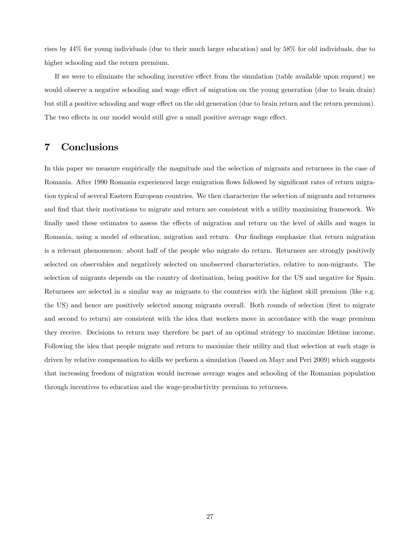rises by 44% for young individuals (due to their much larger education) and by 58% for old individuals, due to higher schooling and the return premium.

If we were to eliminate the schooling incentive effect from the simulation (table available upon request) we would observe a negative schooling and wage effect of migration on the young generation (due to brain drain) but still a positive schooling and wage effect on the old generation (due to brain return and the return premium). The two effects in our model would still give a small positive average wage effect.

### 7 Conclusions

In this paper we measure empirically the magnitude and the selection of migrants and returnees in the case of Romania. After 1990 Romania experienced large emigration flows followed by significant rates of return migration typical of several Eastern European countries. We then characterize the selection of migrants and returnees and find that their motivations to migrate and return are consistent with a utility maximizing framework. We finally used these estimates to assess the effects of migration and return on the level of skills and wages in Romania, using a model of education, migration and return. Our findings emphasize that return migration is a relevant phenomenon: about half of the people who migrate do return. Returnees are strongly positively selected on observables and negatively selected on unobserved characteristics, relative to non-migrants. The selection of migrants depends on the country of destination, being positive for the US and negative for Spain. Returnees are selected in a similar way as migrants to the countries with the highest skill premium (like e.g. the US) and hence are positively selected among migrants overall. Both rounds of selection (first to migrate and second to return) are consistent with the idea that workers move in accordance with the wage premium they receive. Decisions to return may therefore be part of an optimal strategy to maximize lifetime income. Following the idea that people migrate and return to maximize their utility and that selection at each stage is driven by relative compensation to skills we perform a simulation (based on Mayr and Peri 2009) which suggests that increasing freedom of migration would increase average wages and schooling of the Romanian population through incentives to education and the wage-productivity premium to returnees.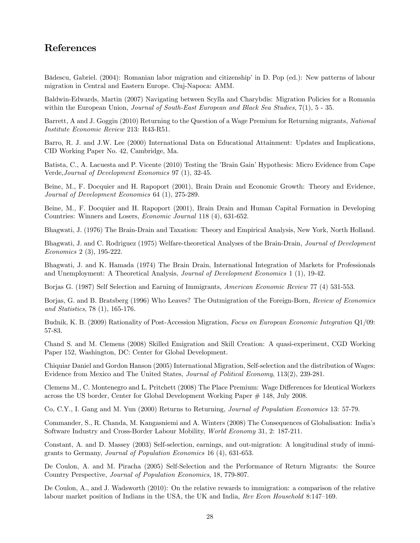# References

Bădescu, Gabriel. (2004): Romanian labor migration and citizenship' in D. Pop (ed.): New patterns of labour migration in Central and Eastern Europe. Cluj-Napoca: AMM.

Baldwin-Edwards, Martin (2007) Navigating between Scylla and Charybdis: Migration Policies for a Romania within the European Union, Journal of South-East European and Black Sea Studies, 7(1), 5 - 35.

Barrett, A and J. Goggin (2010) Returning to the Question of a Wage Premium for Returning migrants, National Institute Economic Review 213: R43-R51.

Barro, R. J. and J.W. Lee (2000) International Data on Educational Attainment: Updates and Implications, CID Working Paper No. 42, Cambridge, Ma.

Batista, C., A. Lacuesta and P. Vicente (2010) Testing the 'Brain Gain' Hypothesis: Micro Evidence from Cape Verde,Journal of Development Economics 97 (1), 32-45.

Beine, M., F. Docquier and H. Rapoport (2001), Brain Drain and Economic Growth: Theory and Evidence, Journal of Development Economics 64 (1), 275-289.

Beine, M., F. Docquier and H. Rapoport (2001), Brain Drain and Human Capital Formation in Developing Countries: Winners and Losers, Economic Journal 118 (4), 631-652.

Bhagwati, J. (1976) The Brain-Drain and Taxation: Theory and Empirical Analysis, New York, North Holland.

Bhagwati, J. and C. Rodriguez (1975) Welfare-theoretical Analyses of the Brain-Drain, Journal of Development Economics 2 (3), 195-222.

Bhagwati, J. and K. Hamada (1974) The Brain Drain, International Integration of Markets for Professionals and Unemployment: A Theoretical Analysis, Journal of Development Economics 1 (1), 19-42.

Borjas G. (1987) Self Selection and Earning of Immigrants, American Economic Review 77 (4) 531-553.

Borjas, G. and B. Bratsberg (1996) Who Leaves? The Outmigration of the Foreign-Born, Review of Economics and Statistics, 78 (1), 165-176.

Budnik, K. B. (2009) Rationality of Post-Accession Migration, Focus on European Economic Integration Q1/09: 57-83.

Chand S. and M. Clemens (2008) Skilled Emigration and Skill Creation: A quasi-experiment, CGD Working Paper 152, Washington, DC: Center for Global Development.

Chiquiar Daniel and Gordon Hanson (2005) International Migration, Self-selection and the distribution of Wages: Evidence from Mexico and The United States, *Journal of Political Economy*, 113(2), 239-281.

Clemens M., C. Montenegro and L. Pritchett (2008) The Place Premium: Wage Differences for Identical Workers across the US border, Center for Global Development Working Paper # 148, July 2008.

Co, C.Y., I. Gang and M. Yun (2000) Returns to Returning, Journal of Population Economics 13: 57-79.

Commander, S., R. Chanda, M. Kangasniemi and A. Winters (2008) The Consequences of Globalisation: India's Software Industry and Cross-Border Labour Mobility, World Economy 31, 2: 187-211.

Constant, A. and D. Massey (2003) Self-selection, earnings, and out-migration: A longitudinal study of immigrants to Germany, Journal of Population Economics 16 (4), 631-653.

De Coulon, A. and M. Piracha (2005) Self-Selection and the Performance of Return Migrants: the Source Country Perspective, Journal of Population Economics, 18, 779-807.

De Coulon, A., and J. Wadsworth (2010): On the relative rewards to immigration: a comparison of the relative labour market position of Indians in the USA, the UK and India, *Rev Econ Household* 8:147-169.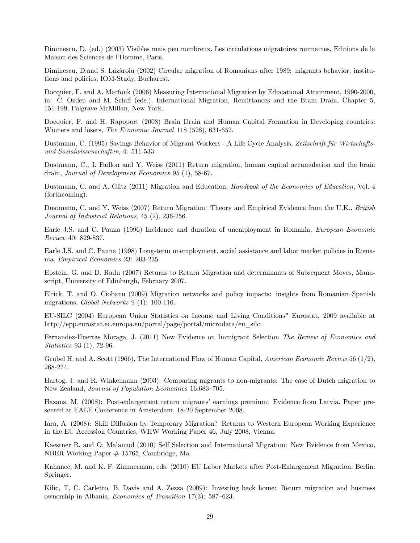Diminescu, D. (ed.) (2003) Visibles mais peu nombreux. Les circulations migratoires roumaines, Editions de la Maison des Sciences de l'Homme, Paris.

Diminescu, D.and S. Lăzăroiu (2002) Circular migration of Romanians after 1989: migrants behavior, institutions and policies, IOM-Study, Bucharest.

Docquier, F. and A. Marfouk (2006) Measuring International Migration by Educational Attainment, 1990-2000, in: C. Ozden and M. Schiff (eds.), International Migration, Remittances and the Brain Drain, Chapter 5, 151-199, Palgrave McMillan, New York.

Docquier, F. and H. Rapoport (2008) Brain Drain and Human Capital Formation in Developing countries: Winners and losers, *The Economic Journal* 118 (528), 631-652.

Dustmann, C. (1995) Savings Behavior of Migrant Workers - A Life Cycle Analysis, Zeitschrift für Wirtschaftsund Sozialwissenschaften, 4: 511-533.

Dustmann, C., I. Fadlon and Y. Weiss (2011) Return migration, human capital accumulation and the brain drain, Journal of Development Economics 95 (1), 58-67.

Dustmann, C. and A. Glitz (2011) Migration and Education, *Handbook of the Economics of Education*, Vol. 4 (forthcoming).

Dustmann, C. and Y. Weiss (2007) Return Migration: Theory and Empirical Evidence from the U.K., British Journal of Industrial Relations, 45 (2), 236-256.

Earle J.S. and C. Pauna (1996) Incidence and duration of unemployment in Romania, European Economic Review 40: 829-837.

Earle J.S. and C. Pauna (1998) Long-term unemployment, social assistance and labor market policies in Romania, Empirical Economics 23: 203-235.

Epstein, G. and D. Radu (2007) Returns to Return Migration and determinants of Subsequent Moves, Manuscript, University of Edinburgh, February 2007.

Elrick, T. and O. Ciobanu (2009) Migration networks and policy impacts: insights from Romanian—Spanish migrations, Global Networks 9 (1): 100-116.

EU-SILC (2004) European Union Statistics on Income and Living Conditions" Eurostat, 2009 available at http://epp.eurostat.ec.europa.eu/portal/page/portal/microdata/eu\_silc.

Fernandez-Huertas Moraga, J. (2011) New Evidence on Immigrant Selection The Review of Economics and Statistics 93 (1), 72-96.

Grubel H. and A. Scott (1966), The International Flow of Human Capital, American Economic Review 56 (1/2), 268-274.

Hartog, J. and R. Winkelmann (2003): Comparing migrants to non-migrants: The case of Dutch migration to New Zealand, Journal of Population Economics 16:683—705.

Hazans, M. (2008): Post-enlargement return migrants' earnings premium: Evidence from Latvia. Paper presented at EALE Conference in Amsterdam, 18-20 September 2008.

Iara, A. (2008): Skill Diffusion by Temporary Migration? Returns to Western European Working Experience in the EU Accession Countries, WIIW Working Paper 46, July 2008, Vienna.

Kaestner R. and O. Malamud (2010) Self Selection and International Migration: New Evidence from Mexico, NBER Working Paper # 15765, Cambridge, Ma.

Kahanec, M. and K. F. Zimmerman, eds. (2010) EU Labor Markets after Post-Enlargement Migration, Berlin: Springer.

Kilic, T, C. Carletto, B. Davis and A. Zezza (2009): Investing back home: Return migration and business ownership in Albania, Economics of Transition 17(3): 587—623.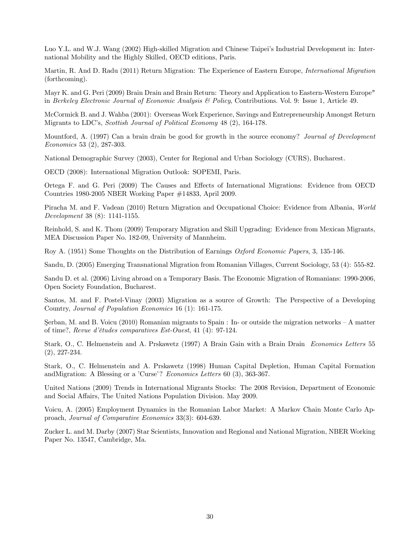Luo Y.L. and W.J. Wang (2002) High-skilled Migration and Chinese Taipei's Industrial Development in: International Mobility and the Highly Skilled, OECD editions, Paris.

Martin, R. And D. Radu (2011) Return Migration: The Experience of Eastern Europe, *International Migration* (forthcoming).

Mayr K. and G. Peri (2009) Brain Drain and Brain Return: Theory and Application to Eastern-Western Europe" in Berkeley Electronic Journal of Economic Analysis  $\mathcal B$  Policy, Contributions. Vol. 9: Issue 1, Article 49.

McCormick B. and J. Wahba (2001): Overseas Work Experience, Savings and Entrepreneurship Amongst Return Migrants to LDC's, Scottish Journal of Political Economy 48 (2), 164-178.

Mountford, A. (1997) Can a brain drain be good for growth in the source economy? Journal of Development Economics 53 (2), 287-303.

National Demographic Survey (2003), Center for Regional and Urban Sociology (CURS), Bucharest.

OECD (2008): International Migration Outlook: SOPEMI, Paris.

Ortega F. and G. Peri (2009) The Causes and Effects of International Migrations: Evidence from OECD Countries 1980-2005 NBER Working Paper #14833, April 2009.

Piracha M. and F. Vadean (2010) Return Migration and Occupational Choice: Evidence from Albania, World Development 38 (8): 1141-1155.

Reinhold, S. and K. Thom (2009) Temporary Migration and Skill Upgrading: Evidence from Mexican Migrants, MEA Discussion Paper No. 182-09, University of Mannheim.

Roy A. (1951) Some Thoughts on the Distribution of Earnings *Oxford Economic Papers*, 3, 135-146.

Sandu, D. (2005) Emerging Transnational Migration from Romanian Villages, Current Sociology, 53 (4): 555-82.

Sandu D. et al. (2006) Living abroad on a Temporary Basis. The Economic Migration of Romanians: 1990-2006, Open Society Foundation, Bucharest.

Santos, M. and F. Postel-Vinay (2003) Migration as a source of Growth: The Perspective of a Developing Country, Journal of Population Economics 16 (1): 161-175.

Serban, M. and B. Voicu (2010) Romanian migrants to Spain  $\colon$  In- or outside the migration networks  $\vdash$  A matter of time?, Revue d'études comparatives Est-Ouest, 41 (4): 97-124.

Stark, O., C. Helmenstein and A. Prskawetz (1997) A Brain Gain with a Brain Drain Economics Letters 55 (2), 227-234.

Stark, O., C. Helmenstein and A. Prskawetz (1998) Human Capital Depletion, Human Capital Formation andMigration: A Blessing or a 'Curse'? Economics Letters 60 (3), 363-367.

United Nations (2009) Trends in International Migrants Stocks: The 2008 Revision, Department of Economic and Social Affairs, The United Nations Population Division. May 2009.

Voicu, A. (2005) Employment Dynamics in the Romanian Labor Market: A Markov Chain Monte Carlo Approach, Journal of Comparative Economics 33(3): 604-639.

Zucker L. and M. Darby (2007) Star Scientists, Innovation and Regional and National Migration, NBER Working Paper No. 13547, Cambridge, Ma.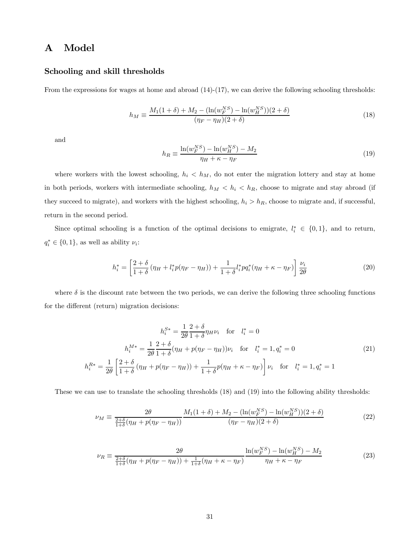# A Model

#### Schooling and skill thresholds

From the expressions for wages at home and abroad  $(14)-(17)$ , we can derive the following schooling thresholds:

$$
h_M = \frac{M_1(1+\delta) + M_2 - (\ln(w_F^{NS}) - \ln(w_H^{NS}))(2+\delta)}{(\eta_F - \eta_H)(2+\delta)}
$$
(18)

and

$$
h_R \equiv \frac{\ln(w_F^{NS}) - \ln(w_H^{NS}) - M_2}{\eta_H + \kappa - \eta_F} \tag{19}
$$

where workers with the lowest schooling,  $h_i < h_M$ , do not enter the migration lottery and stay at home in both periods, workers with intermediate schooling,  $h_M < h_i < h_R$ , choose to migrate and stay abroad (if they succeed to migrate), and workers with the highest schooling,  $h_i > h_R$ , choose to migrate and, if successful, return in the second period.

Since optimal schooling is a function of the optimal decisions to emigrate,  $l_i^* \in \{0,1\}$ , and to return,  $q_i^* \in \{0, 1\}$ , as well as ability  $\nu_i$ :

$$
h_i^* = \left[\frac{2+\delta}{1+\delta}(\eta_H + l_i^*p(\eta_F - \eta_H)) + \frac{1}{1+\delta}l_i^*pq_i^*(\eta_H + \kappa - \eta_F)\right]\frac{\nu_i}{2\theta}
$$
(20)

where  $\delta$  is the discount rate between the two periods, we can derive the following three schooling functions for the different (return) migration decisions:

$$
h_i^{S*} = \frac{1}{2\theta} \frac{2+\delta}{1+\delta} \eta_H \nu_i \quad \text{for} \quad l_i^* = 0
$$
  

$$
h_i^{M*} = \frac{1}{2\theta} \frac{2+\delta}{1+\delta} (\eta_H + p(\eta_F - \eta_H)) \nu_i \quad \text{for} \quad l_i^* = 1, q_i^* = 0
$$
  

$$
h_i^{R*} = \frac{1}{2\theta} \left[ \frac{2+\delta}{1+\delta} (\eta_H + p(\eta_F - \eta_H)) + \frac{1}{1+\delta} p(\eta_H + \kappa - \eta_F) \right] \nu_i \quad \text{for} \quad l_i^* = 1, q_i^* = 1
$$
 (21)

These we can use to translate the schooling thresholds (18) and (19) into the following ability thresholds:

$$
\nu_M \equiv \frac{2\theta}{\frac{2+\delta}{1+\delta}(\eta_H + p(\eta_F - \eta_H))} \frac{M_1(1+\delta) + M_2 - (\ln(w_F^{NS}) - \ln(w_H^{NS}))(2+\delta)}{(\eta_F - \eta_H)(2+\delta)} \tag{22}
$$

$$
\nu_R \equiv \frac{2\theta}{\frac{2+\delta}{1+\delta}(\eta_H + p(\eta_F - \eta_H)) + \frac{1}{1+\delta}(\eta_H + \kappa - \eta_F)} \frac{\ln(w_F^{NS}) - \ln(w_H^{NS}) - M_2}{\eta_H + \kappa - \eta_F}
$$
(23)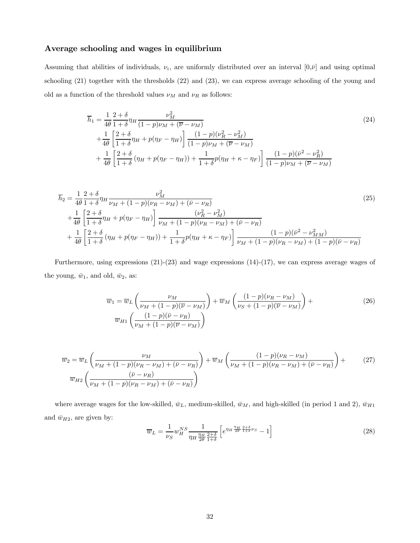#### Average schooling and wages in equilibrium

Assuming that abilities of individuals,  $\nu_i$ , are uniformly distributed over an interval  $[0,\bar{\nu}]$  and using optimal schooling (21) together with the thresholds (22) and (23), we can express average schooling of the young and old as a function of the threshold values  $\nu_M$  and  $\nu_R$  as follows:

$$
\overline{h}_1 = \frac{1}{4\theta} \frac{2+\delta}{1+\delta} \eta_H \frac{\nu_M^2}{(1-p)\nu_M + (\overline{\nu} - \nu_M)} \n+ \frac{1}{4\theta} \left[ \frac{2+\delta}{1+\delta} \eta_H + p(\eta_F - \eta_H) \right] \frac{(1-p)(\nu_R^2 - \nu_M^2)}{(1-p)\nu_M + (\overline{\nu} - \nu_M)} \n+ \frac{1}{4\theta} \left[ \frac{2+\delta}{1+\delta} (\eta_H + p(\eta_F - \eta_H)) + \frac{1}{1+\delta} p(\eta_H + \kappa - \eta_F) \right] \frac{(1-p)(\overline{\nu}^2 - \nu_R^2)}{(1-p)\nu_M + (\overline{\nu} - \nu_M)}
$$
\n(24)

$$
\overline{h}_2 = \frac{1}{4\theta} \frac{2+\delta}{1+\delta} \eta_H \frac{\nu_M^2}{\nu_M + (1-p)(\nu_R - \nu_M) + (\bar{\nu} - \nu_R)} \n+ \frac{1}{4\theta} \left[ \frac{2+\delta}{1+\delta} \eta_H + p(\eta_F - \eta_H) \right] \frac{(\nu_R^2 - \nu_M^2)}{\nu_M + (1-p)(\nu_R - \nu_M) + (\bar{\nu} - \nu_R)} \n+ \frac{1}{4\theta} \left[ \frac{2+\delta}{1+\delta} (\eta_H + p(\eta_F - \eta_H)) + \frac{1}{1+\delta} p(\eta_H + \kappa - \eta_F) \right] \frac{(1-p)(\bar{\nu}^2 - \nu_{MM}^2)}{\nu_M + (1-p)(\nu_R - \nu_M) + (1-p)(\bar{\nu} - \nu_R)}
$$
\n(25)

Furthermore, using expressions (21)-(23) and wage expressions (14)-(17), we can express average wages of the young,  $\bar{w}_1$ , and old,  $\bar{w}_2$ , as:

$$
\overline{w}_1 = \overline{w}_L \left( \frac{\nu_M}{\nu_M + (1 - p)(\overline{\nu} - \nu_M)} \right) + \overline{w}_M \left( \frac{(1 - p)(\nu_R - \nu_M)}{\nu_S + (1 - p)(\overline{\nu} - \nu_M)} \right) + \overline{w}_M \left( \frac{(1 - p)(\overline{\nu} - \nu_R)}{\nu_M + (1 - p)(\overline{\nu} - \nu_M)} \right)
$$
\n(26)

$$
\overline{w}_2 = \overline{w}_L \left( \frac{\nu_M}{\nu_M + (1 - p)(\nu_R - \nu_M) + (\bar{\nu} - \nu_R)} \right) + \overline{w}_M \left( \frac{(1 - p)(\nu_R - \nu_M)}{\nu_M + (1 - p)(\nu_R - \nu_M) + (\bar{\nu} - \nu_R)} \right) + \overline{w}_{H2} \left( \frac{(\bar{\nu} - \nu_R)}{\nu_M + (1 - p)(\nu_R - \nu_M) + (\bar{\nu} - \nu_R)} \right)
$$
\n(27)

where average wages for the low-skilled,  $\bar{w}_L$ , medium-skilled,  $\bar{w}_M$ , and high-skilled (in period 1 and 2),  $\bar{w}_{H1}$ and  $\bar{w}_{H2},$  are given by:

$$
\overline{w}_L = \frac{1}{\nu_S} w_H^{NS} \frac{1}{\eta_H \frac{\eta_H}{2\theta} \frac{2+\delta}{1+\delta}} \left[ e^{\eta_H \frac{\eta_H}{2\theta} \frac{2+\delta}{1+\delta} \nu_S} - 1 \right]
$$
\n(28)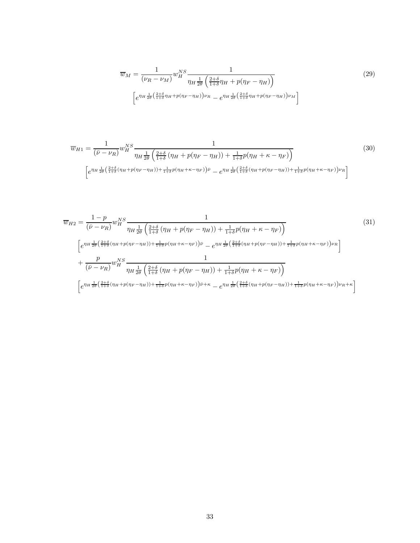$$
\overline{w}_M = \frac{1}{(\nu_R - \nu_M)} w_H^{NS} \frac{1}{\eta_H \frac{1}{2\theta} \left(\frac{2+\delta}{1+\delta}\eta_H + p(\eta_F - \eta_H)\right)} \tag{29}
$$
\n
$$
\left[ e^{\eta_H \frac{1}{2\theta} \left(\frac{2+\delta}{1+\delta}\eta_H + p(\eta_F - \eta_H)\right) \nu_R} - e^{\eta_H \frac{1}{2\theta} \left(\frac{2+\delta}{1+\delta}\eta_H + p(\eta_F - \eta_H)\right) \nu_M} \right]
$$

$$
\overline{w}_{H1} = \frac{1}{(\overline{\nu} - \nu_R)} w_H^{NS} \frac{1}{\eta_H \frac{1}{2\theta} \left(\frac{2+\delta}{1+\delta} \left(\eta_H + p(\eta_F - \eta_H)\right) + \frac{1}{1+\delta} p(\eta_H + \kappa - \eta_F)\right)} \tag{30}
$$
\n
$$
\left[e^{\eta_H \frac{1}{2\theta} \left(\frac{2+\delta}{1+\delta} (\eta_H + p(\eta_F - \eta_H)) + \frac{1}{1+\delta} p(\eta_H + \kappa - \eta_F)\right) \overline{\nu}} - e^{\eta_H \frac{1}{2\theta} \left(\frac{2+\delta}{1+\delta} (\eta_H + p(\eta_F - \eta_H)) + \frac{1}{1+\delta} p(\eta_H + \kappa - \eta_F)\right) \nu_R}\right]
$$

$$
\overline{w}_{H2} = \frac{1 - p}{(\bar{\nu} - \nu_R)} w_H^{NS} \frac{1}{\eta_H \frac{1}{2\theta} \left(\frac{2+\delta}{1+\delta} \left(\eta_H + p(\eta_F - \eta_H)\right) + \frac{1}{1+\delta} p(\eta_H + \kappa - \eta_F)\right)} \tag{31}
$$
\n
$$
\left[e^{\eta_H \frac{1}{2\theta} \left(\frac{2+\delta}{1+\delta} (\eta_H + p(\eta_F - \eta_H)) + \frac{1}{1+\delta} p(\eta_H + \kappa - \eta_F)\right) \bar{\nu}} - e^{\eta_H \frac{1}{2\theta} \left(\frac{2+\delta}{1+\delta} (\eta_H + p(\eta_F - \eta_H)) + \frac{1}{1+\delta} p(\eta_H + \kappa - \eta_F)\right) \nu_R}\right] \times \overline{\left(\bar{\nu} - \nu_R\right)} w_H^{NS} \frac{1}{\eta_H \frac{1}{2\theta} \left(\frac{2+\delta}{1+\delta} (\eta_H + p(\eta_F - \eta_H)) + \frac{1}{1+\delta} p(\eta_H + \kappa - \eta_F)\right)} \right]
$$
\n
$$
\left[e^{\eta_H \frac{1}{2\theta} \left(\frac{2+\delta}{1+\delta} (\eta_H + p(\eta_F - \eta_H)) + \frac{1}{1+\delta} p(\eta_H + \kappa - \eta_F)\right) \bar{\nu} + \kappa} - e^{\eta_H \frac{1}{2\theta} \left(\frac{2+\delta}{1+\delta} (\eta_H + p(\eta_F - \eta_H)) + \frac{1}{1+\delta} p(\eta_H + \kappa - \eta_F)\right) \nu_R + \kappa}\right]
$$
\n(31)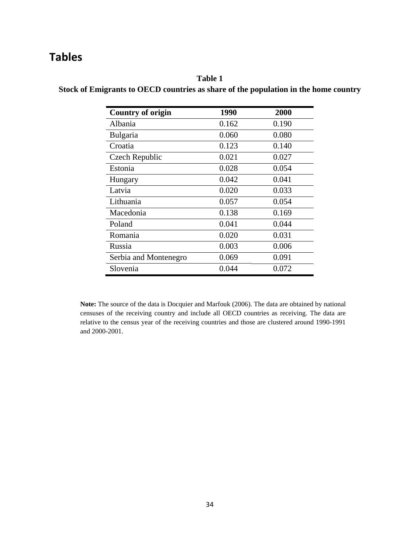# **Tables**

# **Table 1 Stock of Emigrants to OECD countries as share of the population in the home country**

| <b>Country of origin</b> | 1990  | 2000  |
|--------------------------|-------|-------|
| Albania                  | 0.162 | 0.190 |
| <b>Bulgaria</b>          | 0.060 | 0.080 |
| Croatia                  | 0.123 | 0.140 |
| Czech Republic           | 0.021 | 0.027 |
| Estonia                  | 0.028 | 0.054 |
| Hungary                  | 0.042 | 0.041 |
| Latvia                   | 0.020 | 0.033 |
| Lithuania                | 0.057 | 0.054 |
| Macedonia                | 0.138 | 0.169 |
| Poland                   | 0.041 | 0.044 |
| Romania                  | 0.020 | 0.031 |
| Russia                   | 0.003 | 0.006 |
| Serbia and Montenegro    | 0.069 | 0.091 |
| Slovenia                 | 0.044 | 0.072 |

**Note:** The source of the data is Docquier and Marfouk (2006). The data are obtained by national censuses of the receiving country and include all OECD countries as receiving. The data are relative to the census year of the receiving countries and those are clustered around 1990-1991 and 2000-2001.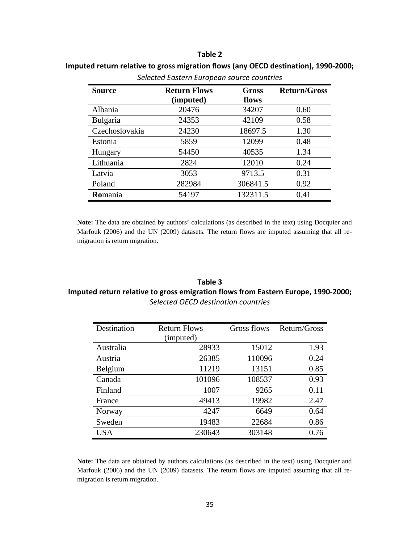#### **Table 2**

| Selected Eastern European source countries |                                  |                |                     |  |  |  |
|--------------------------------------------|----------------------------------|----------------|---------------------|--|--|--|
| <b>Source</b>                              | <b>Return Flows</b><br>(imputed) | Gross<br>flows | <b>Return/Gross</b> |  |  |  |
| Albania                                    | 20476                            | 34207          | 0.60                |  |  |  |
| <b>Bulgaria</b>                            | 24353                            | 42109          | 0.58                |  |  |  |
| Czechoslovakia                             | 24230                            | 18697.5        | 1.30                |  |  |  |
| Estonia                                    | 5859                             | 12099          | 0.48                |  |  |  |
| Hungary                                    | 54450                            | 40535          | 1.34                |  |  |  |
| Lithuania                                  | 2824                             | 12010          | 0.24                |  |  |  |
| Latvia                                     | 3053                             | 9713.5         | 0.31                |  |  |  |
| Poland                                     | 282984                           | 306841.5       | 0.92                |  |  |  |
| <b>Romania</b>                             | 54197                            | 132311.5       | 0.41                |  |  |  |

# **Imputed return relative to gross migration flows (any OECD destination), 1990-2000;**

**Note:** The data are obtained by authors' calculations (as described in the text) using Docquier and Marfouk (2006) and the UN (2009) datasets. The return flows are imputed assuming that all remigration is return migration.

### **Table 3 Imputed return relative to gross emigration flows from Eastern Europe, 1990-2000;**  *Selected OECD destination countries*

| Destination | <b>Return Flows</b> | Gross flows | Return/Gross |
|-------------|---------------------|-------------|--------------|
|             | (imputed)           |             |              |
| Australia   | 28933               | 15012       | 1.93         |
| Austria     | 26385               | 110096      | 0.24         |
| Belgium     | 11219               | 13151       | 0.85         |
| Canada      | 101096              | 108537      | 0.93         |
| Finland     | 1007                | 9265        | 0.11         |
| France      | 49413               | 19982       | 2.47         |
| Norway      | 4247                | 6649        | 0.64         |
| Sweden      | 19483               | 22684       | 0.86         |
| <b>USA</b>  | 230643              | 303148      | 0.76         |

**Note:** The data are obtained by authors calculations (as described in the text) using Docquier and Marfouk (2006) and the UN (2009) datasets. The return flows are imputed assuming that all remigration is return migration.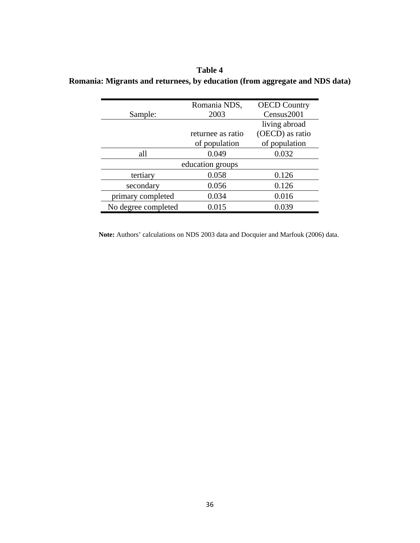**Table 4 Romania: Migrants and returnees, by education (from aggregate and NDS data)** 

|                     | Romania NDS,      | <b>OECD Country</b> |  |  |  |
|---------------------|-------------------|---------------------|--|--|--|
| Sample:             | 2003              | Census2001          |  |  |  |
|                     |                   | living abroad       |  |  |  |
|                     | returnee as ratio | (OECD) as ratio     |  |  |  |
|                     | of population     | of population       |  |  |  |
| all                 | 0.049             | 0.032               |  |  |  |
| education groups    |                   |                     |  |  |  |
| tertiary            | 0.058             | 0.126               |  |  |  |
| secondary           | 0.056             | 0.126               |  |  |  |
| primary completed   | 0.034             | 0.016               |  |  |  |
| No degree completed | 0.015             | 0.039               |  |  |  |

**Note:** Authors' calculations on NDS 2003 data and Docquier and Marfouk (2006) data.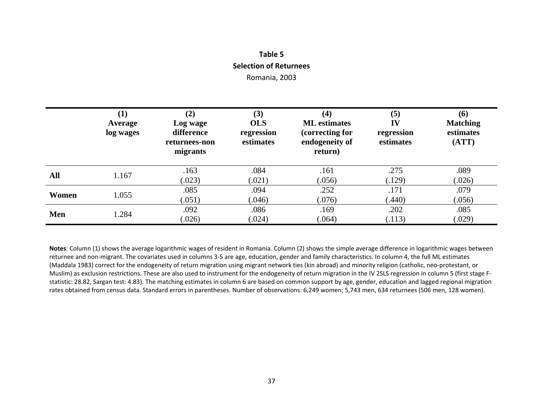# **Table 5 Selection of Returnees** Romania, 2003

|       | $\bf(1)$<br>Average<br>log wages | (2)<br>Log wage<br>difference<br>returnees-non<br>migrants | (3)<br><b>OLS</b><br>regression<br>estimates | $\left( 4\right)$<br><b>ML</b> estimates<br>(correcting for<br>endogeneity of<br>return) | (5)<br>IV<br>regression<br>estimates | (6)<br><b>Matching</b><br>estimates<br>(ATT) |
|-------|----------------------------------|------------------------------------------------------------|----------------------------------------------|------------------------------------------------------------------------------------------|--------------------------------------|----------------------------------------------|
| All   | 1.167                            | .163<br>(.023)                                             | .084<br>(.021)                               | .161<br>(.056)                                                                           | .275<br>(.129)                       | .089<br>(.026)                               |
| Women | 1.055                            | .085<br>(.051)                                             | .094<br>(.046)                               | .252<br>(.076)                                                                           | .171<br>(440)                        | .079<br>(.056)                               |
| Men   | 1.284                            | .092<br>(.026)                                             | .086<br>(.024)                               | .169<br>(.064)                                                                           | .202<br>(.113)                       | .085<br>(.029)                               |

**Notes**: Column (1) shows the average logarithmic wages of resident in Romania. Column (2) shows the simple average difference in logarithmic wages between returnee and non-migrant. The covariates used in columns 3-5 are age, education, gender and family characteristics. In column 4, the full ML estimates (Maddala 1983) correct for the endogeneity of return migration using migrant network ties (kin abroad) and minority religion (catholic, neo-protestant, or Muslim) as exclusion restrictions. These are also used to instrument for the endogeneity of return migration in the IV 2SLS regression in column 5 (first stage Fstatistic: 28.82, Sargan test: 4.83). The matching estimates in column 6 are based on common support by age, gender, education and lagged regional migration rates obtained from census data. Standard errors in parentheses. Number of observations: 6,249 women; 5,743 men, 634 returnees (506 men, 128 women).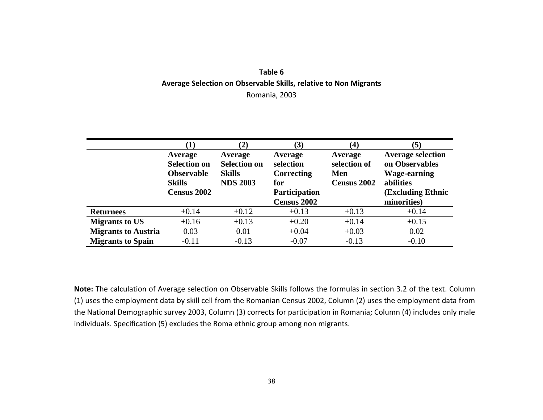# **Table 6 Average Selection on Observable Skills, relative to Non Migrants**  Romania, 2003

|                            |                                                                      | (2)                                                                |                                           | $\left( 4\right)$                                    | $\left( 5\right)$                                                              |
|----------------------------|----------------------------------------------------------------------|--------------------------------------------------------------------|-------------------------------------------|------------------------------------------------------|--------------------------------------------------------------------------------|
|                            | Average<br><b>Selection on</b><br><b>Observable</b><br><b>Skills</b> | Average<br><b>Selection on</b><br><b>Skills</b><br><b>NDS 2003</b> | Average<br>selection<br>Correcting<br>for | Average<br>selection of<br>Men<br><b>Census 2002</b> | <b>Average selection</b><br>on Observables<br><b>Wage-earning</b><br>abilities |
|                            | <b>Census 2002</b>                                                   |                                                                    | <b>Participation</b>                      |                                                      | <b>(Excluding Ethnic)</b>                                                      |
|                            |                                                                      |                                                                    | Census 2002                               |                                                      | minorities)                                                                    |
| <b>Returnees</b>           | $+0.14$                                                              | $+0.12$                                                            | $+0.13$                                   | $+0.13$                                              | $+0.14$                                                                        |
| <b>Migrants to US</b>      | $+0.16$                                                              | $+0.13$                                                            | $+0.20$                                   | $+0.14$                                              | $+0.15$                                                                        |
| <b>Migrants to Austria</b> | 0.03                                                                 | 0.01                                                               | $+0.04$                                   | $+0.03$                                              | 0.02                                                                           |
| <b>Migrants to Spain</b>   | $-0.11$                                                              | $-0.13$                                                            | $-0.07$                                   | $-0.13$                                              | $-0.10$                                                                        |

**Note:** The calculation of Average selection on Observable Skills follows the formulas in section 3.2 of the text. Column (1) uses the employment data by skill cell from the Romanian Census 2002, Column (2) uses the employment data from the National Demographic survey 2003, Column (3) corrects for participation in Romania; Column (4) includes only male individuals. Specification (5) excludes the Roma ethnic group among non migrants.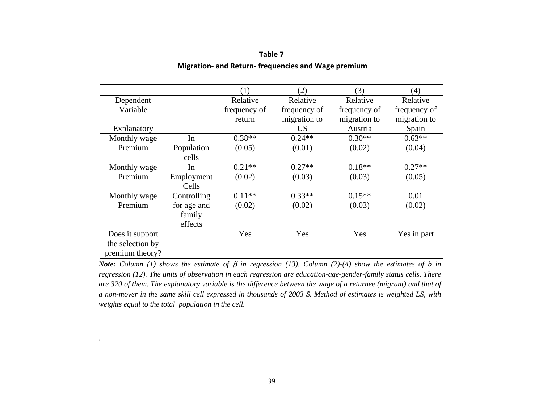|                  |             | (1)          | (2)          | (3)          | (4)          |
|------------------|-------------|--------------|--------------|--------------|--------------|
| Dependent        |             | Relative     | Relative     | Relative     | Relative     |
| Variable         |             | frequency of | frequency of | frequency of | frequency of |
|                  |             | return       | migration to | migration to | migration to |
| Explanatory      |             |              | <b>US</b>    | Austria      | Spain        |
| Monthly wage     | In          | $0.38**$     | $0.24**$     | $0.30**$     | $0.63**$     |
| Premium          | Population  | (0.05)       | (0.01)       | (0.02)       | (0.04)       |
|                  | cells       |              |              |              |              |
| Monthly wage     | In          | $0.21**$     | $0.27**$     | $0.18**$     | $0.27**$     |
| Premium          | Employment  | (0.02)       | (0.03)       | (0.03)       | (0.05)       |
|                  | Cells       |              |              |              |              |
| Monthly wage     | Controlling | $0.11**$     | $0.33**$     | $0.15**$     | 0.01         |
| Premium          | for age and | (0.02)       | (0.02)       | (0.03)       | (0.02)       |
|                  | family      |              |              |              |              |
|                  | effects     |              |              |              |              |
| Does it support  |             | Yes          | Yes          | Yes          | Yes in part  |
| the selection by |             |              |              |              |              |
| premium theory?  |             |              |              |              |              |

### **Table 7 Migration- and Return- frequencies and Wage premium**

*Note:* Column (1) shows the estimate of β in regression (13). Column (2)-(4) show the estimates of b in *regression (12). The units of observation in each regression are education-age-gender-family status cells. There are 320 of them. The explanatory variable is the difference between the wage of a returnee (migrant) and that of a non-mover in the same skill cell expressed in thousands of 2003 \$. Method of estimates is weighted LS, with weights equal to the total population in the cell.* 

*.*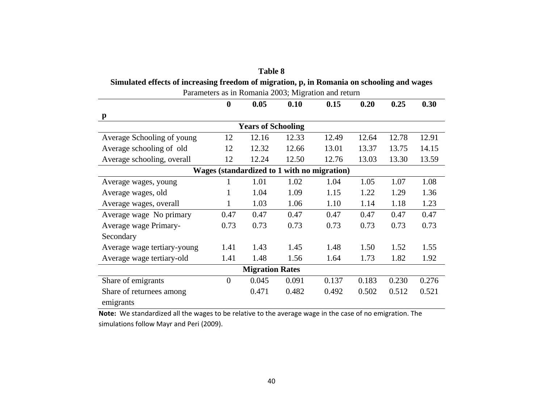| <b>Table 8</b>                                                                             |                                                     |                           |       |                                             |       |       |       |  |  |
|--------------------------------------------------------------------------------------------|-----------------------------------------------------|---------------------------|-------|---------------------------------------------|-------|-------|-------|--|--|
| Simulated effects of increasing freedom of migration, p, in Romania on schooling and wages |                                                     |                           |       |                                             |       |       |       |  |  |
|                                                                                            | Parameters as in Romania 2003; Migration and return |                           |       |                                             |       |       |       |  |  |
|                                                                                            | $\boldsymbol{0}$                                    | 0.05                      | 0.10  | 0.15                                        | 0.20  | 0.25  | 0.30  |  |  |
| $\mathbf{p}$                                                                               |                                                     |                           |       |                                             |       |       |       |  |  |
|                                                                                            |                                                     | <b>Years of Schooling</b> |       |                                             |       |       |       |  |  |
| Average Schooling of young                                                                 | 12                                                  | 12.16                     | 12.33 | 12.49                                       | 12.64 | 12.78 | 12.91 |  |  |
| Average schooling of old                                                                   | 12                                                  | 12.32                     | 12.66 | 13.01                                       | 13.37 | 13.75 | 14.15 |  |  |
| Average schooling, overall                                                                 | 12                                                  | 12.24                     | 12.50 | 12.76                                       | 13.03 | 13.30 | 13.59 |  |  |
|                                                                                            |                                                     |                           |       | Wages (standardized to 1 with no migration) |       |       |       |  |  |
| Average wages, young                                                                       | 1                                                   | 1.01                      | 1.02  | 1.04                                        | 1.05  | 1.07  | 1.08  |  |  |
| Average wages, old                                                                         | 1                                                   | 1.04                      | 1.09  | 1.15                                        | 1.22  | 1.29  | 1.36  |  |  |
| Average wages, overall                                                                     | $\mathbf{1}$                                        | 1.03                      | 1.06  | 1.10                                        | 1.14  | 1.18  | 1.23  |  |  |
| Average wage No primary                                                                    | 0.47                                                | 0.47                      | 0.47  | 0.47                                        | 0.47  | 0.47  | 0.47  |  |  |
| Average wage Primary-                                                                      | 0.73                                                | 0.73                      | 0.73  | 0.73                                        | 0.73  | 0.73  | 0.73  |  |  |
| Secondary                                                                                  |                                                     |                           |       |                                             |       |       |       |  |  |
| Average wage tertiary-young                                                                | 1.41                                                | 1.43                      | 1.45  | 1.48                                        | 1.50  | 1.52  | 1.55  |  |  |
| Average wage tertiary-old                                                                  | 1.41                                                | 1.48                      | 1.56  | 1.64                                        | 1.73  | 1.82  | 1.92  |  |  |
| <b>Migration Rates</b>                                                                     |                                                     |                           |       |                                             |       |       |       |  |  |
| Share of emigrants                                                                         | $\overline{0}$                                      | 0.045                     | 0.091 | 0.137                                       | 0.183 | 0.230 | 0.276 |  |  |
| Share of returnees among                                                                   |                                                     | 0.471                     | 0.482 | 0.492                                       | 0.502 | 0.512 | 0.521 |  |  |
| emigrants                                                                                  |                                                     |                           |       |                                             |       |       |       |  |  |

**Note:** We standardized all the wages to be relative to the average wage in the case of no emigration. The simulations follow Mayr and Peri (2009).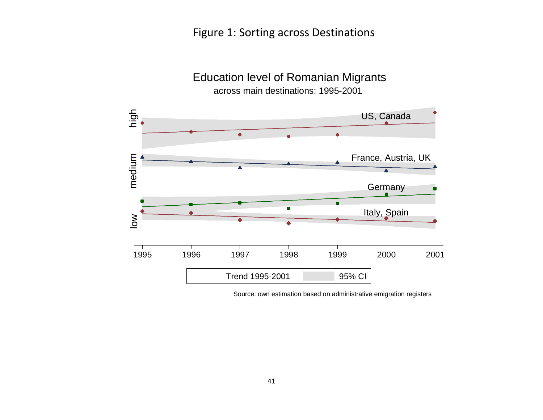# Figure 1: Sorting across Destinations



across main destinations: 1995-2001

Education level of Romanian Migrants

Source: own estimation based on administrative emigration registers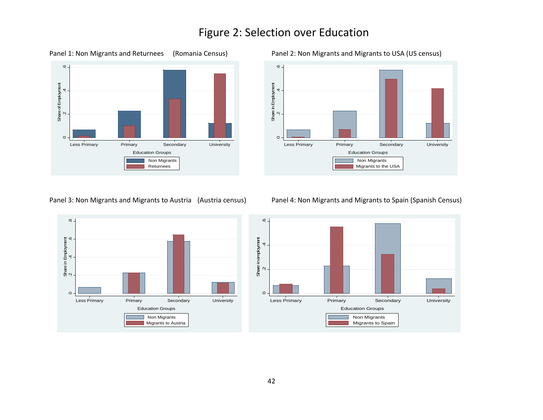# Figure 2: Selection over Education







#### Panel 3: Non Migrants and Migrants to Austria (Austria census) Panel 4: Non Migrants and Migrants to Spain (Spanish Census)

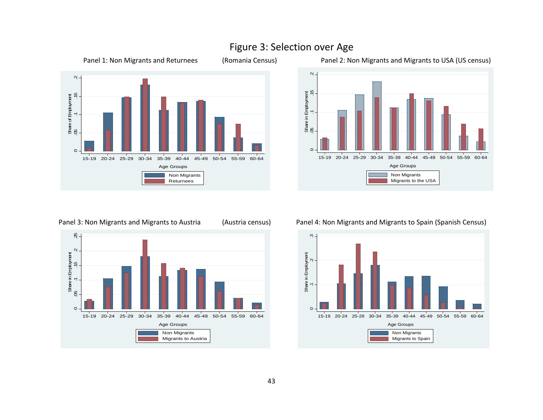

# Figure 3: Selection over Age

Panel 1: Non Migrants and Returnees (Romania Census) Panel 2: Non Migrants and Migrants to USA (US census)





#### Panel 3: Non Migrants and Migrants to Austria (Austria census) Panel 4: Non Migrants and Migrants to Spain (Spanish Census)



# 43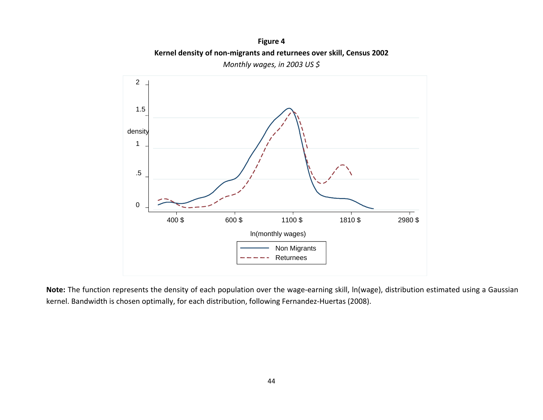**Figure 4 Kernel density of non-migrants and returnees over skill, Census 2002**  *Monthly wages, in 2003 US \$* 



**Note:** The function represents the density of each population over the wage-earning skill, ln(wage), distribution estimated using a Gaussian kernel. Bandwidth is chosen optimally, for each distribution, following Fernandez-Huertas (2008).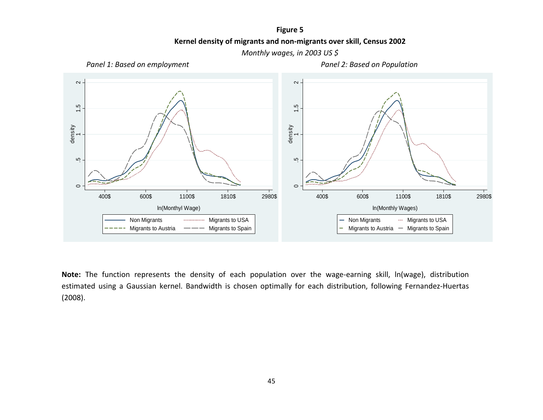**Figure 5 Kernel density of migrants and non-migrants over skill, Census 2002** 

*Monthly wages, in 2003 US \$* 



**Note:** The function represents the density of each population over the wage-earning skill, ln(wage), distribution estimated using a Gaussian kernel. Bandwidth is chosen optimally for each distribution, following Fernandez-Huertas (2008).